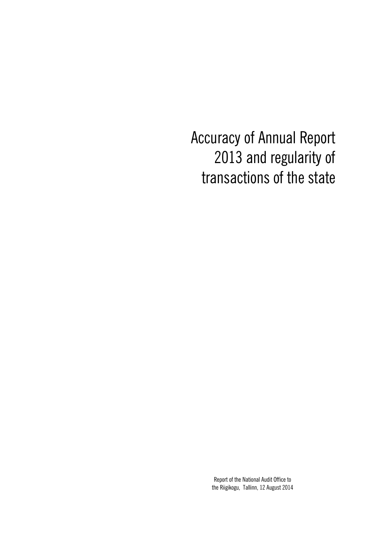Accuracy of Annual Report 2013 and regularity of transactions of the state

> Report of the National Audit Office to the Riigikogu, Tallinn, 12 August 2014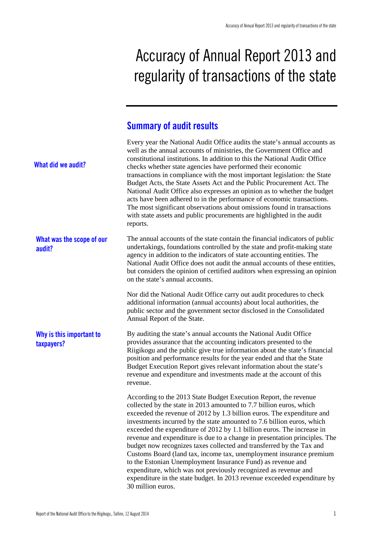# Accuracy of Annual Report 2013 and regularity of transactions of the state

## **Summary of audit results**

| What did we audit?                     | Every year the National Audit Office audits the state's annual accounts as<br>well as the annual accounts of ministries, the Government Office and<br>constitutional institutions. In addition to this the National Audit Office<br>checks whether state agencies have performed their economic<br>transactions in compliance with the most important legislation: the State<br>Budget Acts, the State Assets Act and the Public Procurement Act. The<br>National Audit Office also expresses an opinion as to whether the budget<br>acts have been adhered to in the performance of economic transactions.<br>The most significant observations about omissions found in transactions<br>with state assets and public procurements are highlighted in the audit<br>reports.                                                          |  |
|----------------------------------------|---------------------------------------------------------------------------------------------------------------------------------------------------------------------------------------------------------------------------------------------------------------------------------------------------------------------------------------------------------------------------------------------------------------------------------------------------------------------------------------------------------------------------------------------------------------------------------------------------------------------------------------------------------------------------------------------------------------------------------------------------------------------------------------------------------------------------------------|--|
| What was the scope of our<br>audit?    | The annual accounts of the state contain the financial indicators of public<br>undertakings, foundations controlled by the state and profit-making state<br>agency in addition to the indicators of state accounting entities. The<br>National Audit Office does not audit the annual accounts of these entities,<br>but considers the opinion of certified auditors when expressing an opinion<br>on the state's annual accounts.                                                                                                                                                                                                                                                                                                                                                                                                    |  |
|                                        | Nor did the National Audit Office carry out audit procedures to check<br>additional information (annual accounts) about local authorities, the<br>public sector and the government sector disclosed in the Consolidated<br>Annual Report of the State.                                                                                                                                                                                                                                                                                                                                                                                                                                                                                                                                                                                |  |
| Why is this important to<br>taxpayers? | By auditing the state's annual accounts the National Audit Office<br>provides assurance that the accounting indicators presented to the<br>Riigikogu and the public give true information about the state's financial<br>position and performance results for the year ended and that the State<br>Budget Execution Report gives relevant information about the state's<br>revenue and expenditure and investments made at the account of this<br>revenue.                                                                                                                                                                                                                                                                                                                                                                            |  |
|                                        | According to the 2013 State Budget Execution Report, the revenue<br>collected by the state in 2013 amounted to 7.7 billion euros, which<br>exceeded the revenue of 2012 by 1.3 billion euros. The expenditure and<br>investments incurred by the state amounted to 7.6 billion euros, which<br>exceeded the expenditure of 2012 by 1.1 billion euros. The increase in<br>revenue and expenditure is due to a change in presentation principles. The<br>budget now recognizes taxes collected and transferred by the Tax and<br>Customs Board (land tax, income tax, unemployment insurance premium<br>to the Estonian Unemployment Insurance Fund) as revenue and<br>expenditure, which was not previously recognized as revenue and<br>expenditure in the state budget. In 2013 revenue exceeded expenditure by<br>30 million euros. |  |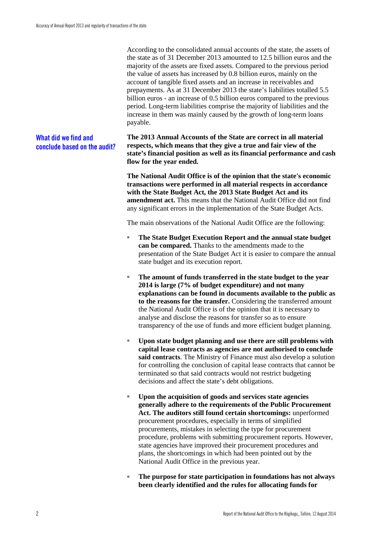According to the consolidated annual accounts of the state, the assets of the state as of 31 December 2013 amounted to 12.5 billion euros and the majority of the assets are fixed assets. Compared to the previous period the value of assets has increased by 0.8 billion euros, mainly on the account of tangible fixed assets and an increase in receivables and prepayments. As at 31 December 2013 the state's liabilities totalled 5.5 billion euros - an increase of 0.5 billion euros compared to the previous period. Long-term liabilities comprise the majority of liabilities and the increase in them was mainly caused by the growth of long-term loans payable.

**The 2013 Annual Accounts of the State are correct in all material respects, which means that they give a true and fair view of the state's financial position as well as its financial performance and cash flow for the year ended. What did we find and conclude based on the audit?**

> **The National Audit Office is of the opinion that the state's economic transactions were performed in all material respects in accordance with the State Budget Act, the 2013 State Budget Act and its amendment act.** This means that the National Audit Office did not find any significant errors in the implementation of the State Budget Acts.

The main observations of the National Audit Office are the following:

- **The State Budget Execution Report and the annual state budget can be compared.** Thanks to the amendments made to the presentation of the State Budget Act it is easier to compare the annual state budget and its execution report.
- The amount of funds transferred in the state budget to the year **2014 is large (7% of budget expenditure) and not many explanations can be found in documents available to the public as to the reasons for the transfer.** Considering the transferred amount the National Audit Office is of the opinion that it is necessary to analyse and disclose the reasons for transfer so as to ensure transparency of the use of funds and more efficient budget planning.
- Upon state budget planning and use there are still problems with **capital lease contracts as agencies are not authorised to conclude said contracts**. The Ministry of Finance must also develop a solution for controlling the conclusion of capital lease contracts that cannot be terminated so that said contracts would not restrict budgeting decisions and affect the state's debt obligations.
- Upon the acquisition of goods and services state agencies **generally adhere to the requirements of the Public Procurement Act. The auditors still found certain shortcomings:** unperformed procurement procedures, especially in terms of simplified procurements, mistakes in selecting the type for procurement procedure, problems with submitting procurement reports. However, state agencies have improved their procurement procedures and plans, the shortcomings in which had been pointed out by the National Audit Office in the previous year.
- The purpose for state participation in foundations has not always **been clearly identified and the rules for allocating funds for**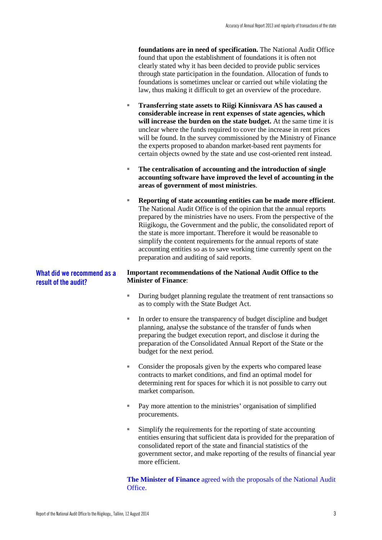**foundations are in need of specification.** The National Audit Office found that upon the establishment of foundations it is often not clearly stated why it has been decided to provide public services through state participation in the foundation. Allocation of funds to foundations is sometimes unclear or carried out while violating the law, thus making it difficult to get an overview of the procedure.

- **Transferring state assets to Riigi Kinnisvara AS has caused a considerable increase in rent expenses of state agencies, which will increase the burden on the state budget.** At the same time it is unclear where the funds required to cover the increase in rent prices will be found. In the survey commissioned by the Ministry of Finance the experts proposed to abandon market-based rent payments for certain objects owned by the state and use cost-oriented rent instead.
- The centralisation of accounting and the introduction of single **accounting software have improved the level of accounting in the areas of government of most ministries**.
- **Reporting of state accounting entities can be made more efficient**. The National Audit Office is of the opinion that the annual reports prepared by the ministries have no users. From the perspective of the Riigikogu, the Government and the public, the consolidated report of the state is more important. Therefore it would be reasonable to simplify the content requirements for the annual reports of state accounting entities so as to save working time currently spent on the preparation and auditing of said reports.

#### **Important recommendations of the National Audit Office to the Minister of Finance**: **What did we recommend as a result of the audit?**

- During budget planning regulate the treatment of rent transactions so as to comply with the State Budget Act.
- In order to ensure the transparency of budget discipline and budget planning, analyse the substance of the transfer of funds when preparing the budget execution report, and disclose it during the preparation of the Consolidated Annual Report of the State or the budget for the next period.
- Consider the proposals given by the experts who compared lease contracts to market conditions, and find an optimal model for determining rent for spaces for which it is not possible to carry out market comparison.
- Pay more attention to the ministries' organisation of simplified procurements.
- Simplify the requirements for the reporting of state accounting entities ensuring that sufficient data is provided for the preparation of consolidated report of the state and financial statistics of the government sector, and make reporting of the results of financial year more efficient.

**The Minister of Finance** agreed with the proposals of the National Audit Office.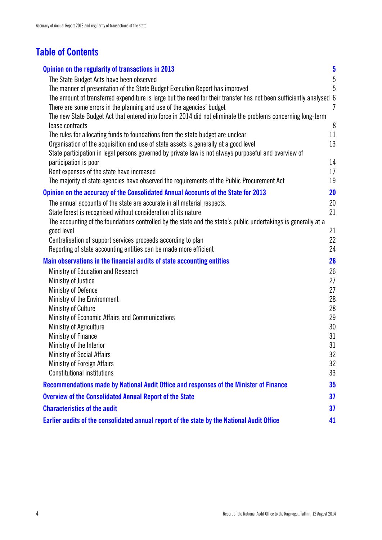## **Table of Contents**

| Opinion on the regularity of transactions in 2013                                                                                                                                 | $\overline{\mathbf{5}}$ |
|-----------------------------------------------------------------------------------------------------------------------------------------------------------------------------------|-------------------------|
| The State Budget Acts have been observed                                                                                                                                          | 5                       |
| The manner of presentation of the State Budget Execution Report has improved                                                                                                      | 5                       |
| The amount of transferred expenditure is large but the need for their transfer has not been sufficiently analysed 6                                                               |                         |
| There are some errors in the planning and use of the agencies' budget                                                                                                             | $\overline{I}$          |
| The new State Budget Act that entered into force in 2014 did not eliminate the problems concerning long-term                                                                      |                         |
| lease contracts                                                                                                                                                                   | 8                       |
| The rules for allocating funds to foundations from the state budget are unclear                                                                                                   | 11                      |
| Organisation of the acquisition and use of state assets is generally at a good level                                                                                              | 13                      |
| State participation in legal persons governed by private law is not always purposeful and overview of<br>participation is poor                                                    | 14                      |
| Rent expenses of the state have increased                                                                                                                                         | 17                      |
| The majority of state agencies have observed the requirements of the Public Procurement Act                                                                                       | 19                      |
|                                                                                                                                                                                   |                         |
| Opinion on the accuracy of the Consolidated Annual Accounts of the State for 2013                                                                                                 | <b>20</b>               |
| The annual accounts of the state are accurate in all material respects.                                                                                                           | 20                      |
| State forest is recognised without consideration of its nature<br>The accounting of the foundations controlled by the state and the state's public undertakings is generally at a | 21                      |
| good level                                                                                                                                                                        | 21                      |
| Centralisation of support services proceeds according to plan                                                                                                                     | 22                      |
| Reporting of state accounting entities can be made more efficient                                                                                                                 | 24                      |
| Main observations in the financial audits of state accounting entities                                                                                                            | 26                      |
| Ministry of Education and Research                                                                                                                                                | 26                      |
| Ministry of Justice                                                                                                                                                               | 27                      |
| Ministry of Defence                                                                                                                                                               | 27                      |
| Ministry of the Environment                                                                                                                                                       | 28                      |
| Ministry of Culture                                                                                                                                                               | 28                      |
| Ministry of Economic Affairs and Communications                                                                                                                                   | 29                      |
| Ministry of Agriculture                                                                                                                                                           | 30                      |
| Ministry of Finance                                                                                                                                                               | 31                      |
| Ministry of the Interior                                                                                                                                                          | 31                      |
| <b>Ministry of Social Affairs</b>                                                                                                                                                 | 32                      |
| <b>Ministry of Foreign Affairs</b><br><b>Constitutional institutions</b>                                                                                                          | 32<br>33                |
|                                                                                                                                                                                   |                         |
| Recommendations made by National Audit Office and responses of the Minister of Finance                                                                                            | 35                      |
| <b>Overview of the Consolidated Annual Report of the State</b>                                                                                                                    | 37                      |
| <b>Characteristics of the audit</b>                                                                                                                                               | 37                      |
| Earlier audits of the consolidated annual report of the state by the National Audit Office                                                                                        | 41                      |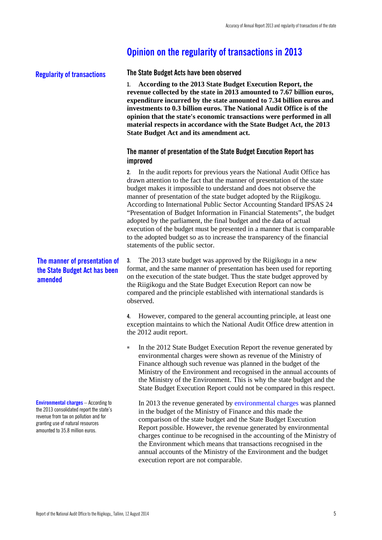### <span id="page-6-0"></span>**Opinion on the regularity of transactions in 2013**

#### **Regularity of transactions**

<span id="page-6-1"></span>**The State Budget Acts have been observed**

**1. According to the 2013 State Budget Execution Report, the revenue collected by the state in 2013 amounted to 7.67 billion euros, expenditure incurred by the state amounted to 7.34 billion euros and investments to 0.3 billion euros. The National Audit Office is of the opinion that the state's economic transactions were performed in all material respects in accordance with the State Budget Act, the 2013 State Budget Act and its amendment act.**

#### <span id="page-6-2"></span>**The manner of presentation of the State Budget Execution Report has improved**

**2.** In the audit reports for previous years the National Audit Office has drawn attention to the fact that the manner of presentation of the state budget makes it impossible to understand and does not observe the manner of presentation of the state budget adopted by the Riigikogu. According to International Public Sector Accounting Standard IPSAS 24 "Presentation of Budget Information in Financial Statements", the budget adopted by the parliament, the final budget and the data of actual execution of the budget must be presented in a manner that is comparable to the adopted budget so as to increase the transparency of the financial statements of the public sector.

**3.** The 2013 state budget was approved by the Riigikogu in a new format, and the same manner of presentation has been used for reporting on the execution of the state budget. Thus the state budget approved by the Riigikogu and the State Budget Execution Report can now be compared and the principle established with international standards is observed.

**4.** However, compared to the general accounting principle, at least one exception maintains to which the National Audit Office drew attention in the 2012 audit report.

In the 2012 State Budget Execution Report the revenue generated by environmental charges were shown as revenue of the Ministry of Finance although such revenue was planned in the budget of the Ministry of the Environment and recognised in the annual accounts of the Ministry of the Environment. This is why the state budget and the State Budget Execution Report could not be compared in this respect.

In 2013 the revenue generated by environmental charges was planned in the budget of the Ministry of Finance and this made the comparison of the state budget and the State Budget Execution Report possible. However, the revenue generated by environmental charges continue to be recognised in the accounting of the Ministry of the Environment which means that transactions recognised in the annual accounts of the Ministry of the Environment and the budget execution report are not comparable.

#### **The manner of presentation of the State Budget Act has been amended**

**Environmental charges** – According to the 2013 consolidated report the state's revenue from tax on pollution and for granting use of natural resources amounted to 35.8 million euros.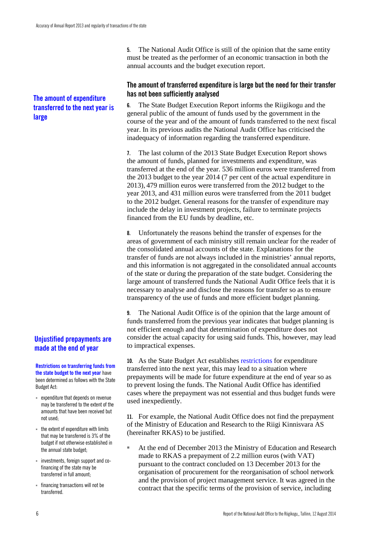#### **The amount of expenditure transferred to the next year is large**

#### **Unjustified prepayments are made at the end of year**

**Restrictions on transferring funds from the state budget to the next year** have been determined as follows with the State Budget Act:

- expenditure that depends on revenue may be transferred to the extent of the amounts that have been received but not used;
- the extent of expenditure with limits that may be transferred is 3% of the budget if not otherwise established in the annual state budget;
- investments, foreign support and cofinancing of the state may be transferred in full amount;
- financing transactions will not be transferred.

**5.** The National Audit Office is still of the opinion that the same entity must be treated as the performer of an economic transaction in both the annual accounts and the budget execution report.

#### <span id="page-7-0"></span>**The amount of transferred expenditure is large but the need for their transfer has not been sufficiently analysed**

**6.** The State Budget Execution Report informs the Riigikogu and the general public of the amount of funds used by the government in the course of the year and of the amount of funds transferred to the next fiscal year. In its previous audits the National Audit Office has criticised the inadequacy of information regarding the transferred expenditure.

**7.** The last column of the 2013 State Budget Execution Report shows the amount of funds, planned for investments and expenditure, was transferred at the end of the year. 536 million euros were transferred from the 2013 budget to the year 2014 (7 per cent of the actual expenditure in 2013), 479 million euros were transferred from the 2012 budget to the year 2013, and 431 million euros were transferred from the 2011 budget to the 2012 budget. General reasons for the transfer of expenditure may include the delay in investment projects, failure to terminate projects financed from the EU funds by deadline, etc.

**8.** Unfortunately the reasons behind the transfer of expenses for the areas of government of each ministry still remain unclear for the reader of the consolidated annual accounts of the state. Explanations for the transfer of funds are not always included in the ministries' annual reports, and this information is not aggregated in the consolidated annual accounts of the state or during the preparation of the state budget. Considering the large amount of transferred funds the National Audit Office feels that it is necessary to analyse and disclose the reasons for transfer so as to ensure transparency of the use of funds and more efficient budget planning.

**9.** The National Audit Office is of the opinion that the large amount of funds transferred from the previous year indicates that budget planning is not efficient enough and that determination of expenditure does not consider the actual capacity for using said funds. This, however, may lead to impractical expenses.

**10.** As the State Budget Act establishes restrictions for expenditure transferred into the next year, this may lead to a situation where prepayments will be made for future expenditure at the end of year so as to prevent losing the funds. The National Audit Office has identified cases where the prepayment was not essential and thus budget funds were used inexpediently.

**11.** For example, the National Audit Office does not find the prepayment of the Ministry of Education and Research to the Riigi Kinnisvara AS (hereinafter RKAS) to be justified.

At the end of December 2013 the Ministry of Education and Research made to RKAS a prepayment of 2.2 million euros (with VAT) pursuant to the contract concluded on 13 December 2013 for the organisation of procurement for the reorganisation of school network and the provision of project management service. It was agreed in the contract that the specific terms of the provision of service, including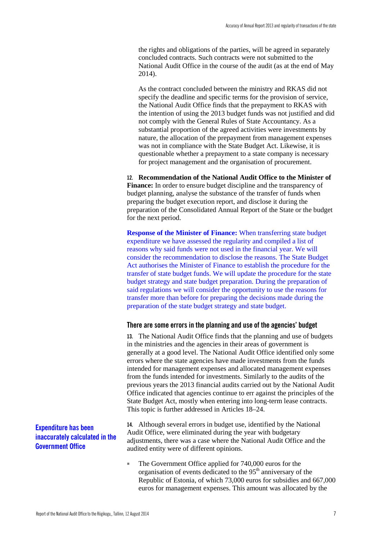the rights and obligations of the parties, will be agreed in separately concluded contracts. Such contracts were not submitted to the National Audit Office in the course of the audit (as at the end of May 2014).

As the contract concluded between the ministry and RKAS did not specify the deadline and specific terms for the provision of service, the National Audit Office finds that the prepayment to RKAS with the intention of using the 2013 budget funds was not justified and did not comply with the General Rules of State Accountancy. As a substantial proportion of the agreed activities were investments by nature, the allocation of the prepayment from management expenses was not in compliance with the State Budget Act. Likewise, it is questionable whether a prepayment to a state company is necessary for project management and the organisation of procurement.

**12. Recommendation of the National Audit Office to the Minister of Finance:** In order to ensure budget discipline and the transparency of budget planning, analyse the substance of the transfer of funds when preparing the budget execution report, and disclose it during the preparation of the Consolidated Annual Report of the State or the budget for the next period.

**Response of the Minister of Finance:** When transferring state budget expenditure we have assessed the regularity and compiled a list of reasons why said funds were not used in the financial year. We will consider the recommendation to disclose the reasons. The State Budget Act authorises the Minister of Finance to establish the procedure for the transfer of state budget funds. We will update the procedure for the state budget strategy and state budget preparation. During the preparation of said regulations we will consider the opportunity to use the reasons for transfer more than before for preparing the decisions made during the preparation of the state budget strategy and state budget.

#### <span id="page-8-0"></span>**There are some errors in the planning and use of the agencies' budget**

**13.** The National Audit Office finds that the planning and use of budgets in the ministries and the agencies in their areas of government is generally at a good level. The National Audit Office identified only some errors where the state agencies have made investments from the funds intended for management expenses and allocated management expenses from the funds intended for investments. Similarly to the audits of the previous years the 2013 financial audits carried out by the National Audit Office indicated that agencies continue to err against the principles of the State Budget Act, mostly when entering into long-term lease contracts. This topic is further addressed in Articles 18–24.

#### **Expenditure has been inaccurately calculated in the Government Office**

**14.** Although several errors in budget use, identified by the National Audit Office, were eliminated during the year with budgetary adjustments, there was a case where the National Audit Office and the audited entity were of different opinions.

The Government Office applied for 740,000 euros for the organisation of events dedicated to the  $95<sup>th</sup>$  anniversary of the Republic of Estonia, of which 73,000 euros for subsidies and 667,000 euros for management expenses. This amount was allocated by the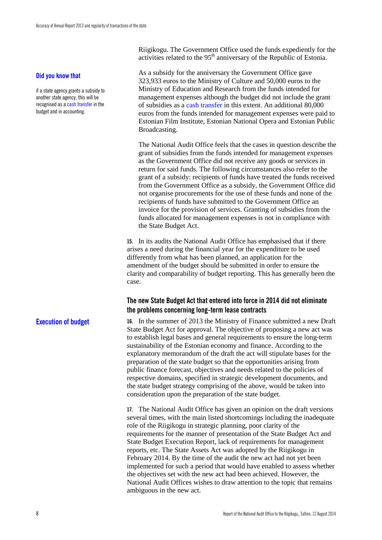#### **Did you know that**

if a state agency grants a subsidy to another state agency, this will be recognised as a cash transfer in the budget and in accounting.

**Execution of budget**

Riigikogu. The Government Office used the funds expediently for the activities related to the 95<sup>th</sup> anniversary of the Republic of Estonia.

As a subsidy for the anniversary the Government Office gave 323,933 euros to the Ministry of Culture and 50,000 euros to the Ministry of Education and Research from the funds intended for management expenses although the budget did not include the grant of subsidies as a cash transfer in this extent. An additional 80,000 euros from the funds intended for management expenses were paid to Estonian Film Institute, Estonian National Opera and Estonian Public Broadcasting.

The National Audit Office feels that the cases in question describe the grant of subsidies from the funds intended for management expenses as the Government Office did not receive any goods or services in return for said funds. The following circumstances also refer to the grant of a subsidy: recipients of funds have treated the funds received from the Government Office as a subsidy, the Government Office did not organise procurements for the use of these funds and none of the recipients of funds have submitted to the Government Office an invoice for the provision of services. Granting of subsidies from the funds allocated for management expenses is not in compliance with the State Budget Act.

**15.** In its audits the National Audit Office has emphasised that if there arises a need during the financial year for the expenditure to be used differently from what has been planned, an application for the amendment of the budget should be submitted in order to ensure the clarity and comparability of budget reporting. This has generally been the case.

#### <span id="page-9-0"></span>**The new State Budget Act that entered into force in 2014 did not eliminate the problems concerning long-term lease contracts**

**16.** In the summer of 2013 the Ministry of Finance submitted a new Draft State Budget Act for approval. The objective of proposing a new act was to establish legal bases and general requirements to ensure the long-term sustainability of the Estonian economy and finance. According to the explanatory memorandum of the draft the act will stipulate bases for the preparation of the state budget so that the opportunities arising from public finance forecast, objectives and needs related to the policies of respective domains, specified in strategic development documents, and the state budget strategy comprising of the above, would be taken into consideration upon the preparation of the state budget.

**17.** The National Audit Office has given an opinion on the draft versions several times, with the main listed shortcomings including the inadequate role of the Riigikogu in strategic planning, poor clarity of the requirements for the manner of presentation of the State Budget Act and State Budget Execution Report, lack of requirements for management reports, etc. The State Assets Act was adopted by the Riigikogu in February 2014. By the time of the audit the new act had not yet been implemented for such a period that would have enabled to assess whether the objectives set with the new act had been achieved. However, the National Audit Offices wishes to draw attention to the topic that remains ambiguous in the new act.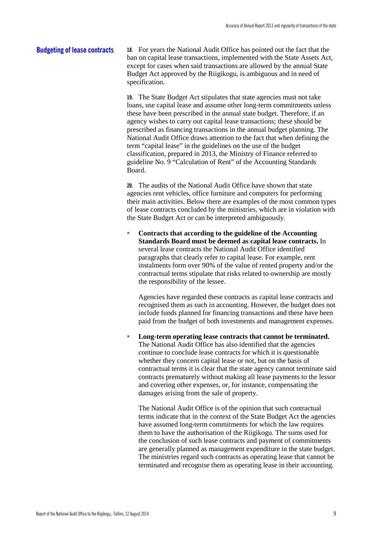#### **18.** For years the National Audit Office has pointed out the fact that the ban on capital lease transactions, implemented with the State Assets Act, except for cases when said transactions are allowed by the annual State Budget Act approved by the Riigikogu, is ambiguous and in need of specification. **Budgeting of lease contracts**

**19.** The State Budget Act stipulates that state agencies must not take loans, use capital lease and assume other long-term commitments unless these have been prescribed in the annual state budget. Therefore, if an agency wishes to carry out capital lease transactions; these should be prescribed as financing transactions in the annual budget planning. The National Audit Office draws attention to the fact that when defining the term "capital lease" in the guidelines on the use of the budget classification, prepared in 2013, the Ministry of Finance referred to guideline No. 9 "Calculation of Rent" of the Accounting Standards Board.

**20.** The audits of the National Audit Office have shown that state agencies rent vehicles, office furniture and computers for performing their main activities. Below there are examples of the most common types of lease contracts concluded by the ministries, which are in violation with the State Budget Act or can be interpreted ambiguously.

Contracts that according to the guideline of the Accounting **Standards Board must be deemed as capital lease contracts.** In several lease contracts the National Audit Office identified paragraphs that clearly refer to capital lease. For example, rent instalments form over 90% of the value of rented property and/or the contractual terms stipulate that risks related to ownership are mostly the responsibility of the lessee.

Agencies have regarded these contracts as capital lease contracts and recognised them as such in accounting. However, the budget does not include funds planned for financing transactions and these have been paid from the budget of both investments and management expenses.

Long-term operating lease contracts that cannot be terminated. The National Audit Office has also identified that the agencies continue to conclude lease contracts for which it is questionable whether they concern capital lease or not, but on the basis of contractual terms it is clear that the state agency cannot terminate said contracts prematurely without making all lease payments to the lessor and covering other expenses, or, for instance, compensating the damages arising from the sale of property.

The National Audit Office is of the opinion that such contractual terms indicate that in the context of the State Budget Act the agencies have assumed long-term commitments for which the law requires them to have the authorisation of the Riigikogu. The sums used for the conclusion of such lease contracts and payment of commitments are generally planned as management expenditure in the state budget. The ministries regard such contracts as operating lease that cannot be terminated and recognise them as operating lease in their accounting.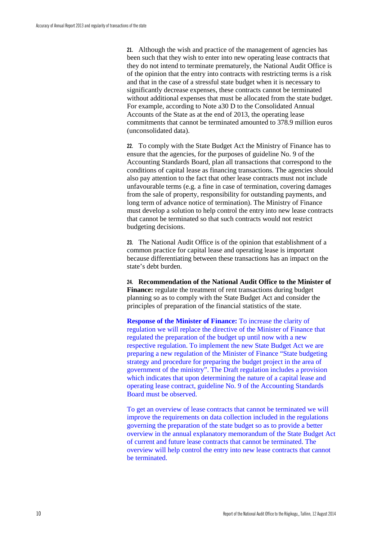**21.** Although the wish and practice of the management of agencies has been such that they wish to enter into new operating lease contracts that they do not intend to terminate prematurely, the National Audit Office is of the opinion that the entry into contracts with restricting terms is a risk and that in the case of a stressful state budget when it is necessary to significantly decrease expenses, these contracts cannot be terminated without additional expenses that must be allocated from the state budget. For example, according to Note a30 D to the Consolidated Annual Accounts of the State as at the end of 2013, the operating lease commitments that cannot be terminated amounted to 378.9 million euros (unconsolidated data).

**22.** To comply with the State Budget Act the Ministry of Finance has to ensure that the agencies, for the purposes of guideline No. 9 of the Accounting Standards Board, plan all transactions that correspond to the conditions of capital lease as financing transactions. The agencies should also pay attention to the fact that other lease contracts must not include unfavourable terms (e.g. a fine in case of termination, covering damages from the sale of property, responsibility for outstanding payments, and long term of advance notice of termination). The Ministry of Finance must develop a solution to help control the entry into new lease contracts that cannot be terminated so that such contracts would not restrict budgeting decisions.

**23.** The National Audit Office is of the opinion that establishment of a common practice for capital lease and operating lease is important because differentiating between these transactions has an impact on the state's debt burden.

**24. Recommendation of the National Audit Office to the Minister of Finance:** regulate the treatment of rent transactions during budget planning so as to comply with the State Budget Act and consider the principles of preparation of the financial statistics of the state.

**Response of the Minister of Finance:** To increase the clarity of regulation we will replace the directive of the Minister of Finance that regulated the preparation of the budget up until now with a new respective regulation. To implement the new State Budget Act we are preparing a new regulation of the Minister of Finance "State budgeting strategy and procedure for preparing the budget project in the area of government of the ministry". The Draft regulation includes a provision which indicates that upon determining the nature of a capital lease and operating lease contract, guideline No. 9 of the Accounting Standards Board must be observed.

To get an overview of lease contracts that cannot be terminated we will improve the requirements on data collection included in the regulations governing the preparation of the state budget so as to provide a better overview in the annual explanatory memorandum of the State Budget Act of current and future lease contracts that cannot be terminated. The overview will help control the entry into new lease contracts that cannot be terminated.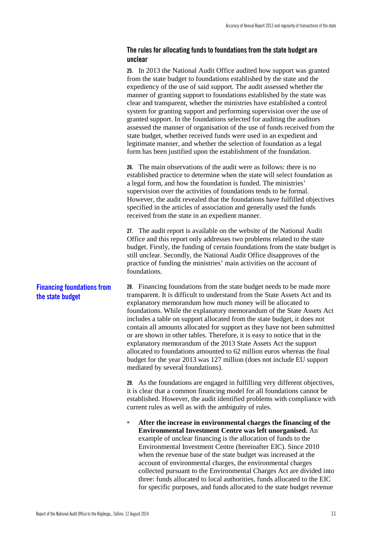#### <span id="page-12-0"></span>**The rules for allocating funds to foundations from the state budget are unclear**

|                                                       | 25. In 2013 the National Audit Office audited how support was granted<br>from the state budget to foundations established by the state and the<br>expediency of the use of said support. The audit assessed whether the<br>manner of granting support to foundations established by the state was<br>clear and transparent, whether the ministries have established a control<br>system for granting support and performing supervision over the use of<br>granted support. In the foundations selected for auditing the auditors<br>assessed the manner of organisation of the use of funds received from the<br>state budget, whether received funds were used in an expedient and<br>legitimate manner, and whether the selection of foundation as a legal<br>form has been justified upon the establishment of the foundation. |
|-------------------------------------------------------|------------------------------------------------------------------------------------------------------------------------------------------------------------------------------------------------------------------------------------------------------------------------------------------------------------------------------------------------------------------------------------------------------------------------------------------------------------------------------------------------------------------------------------------------------------------------------------------------------------------------------------------------------------------------------------------------------------------------------------------------------------------------------------------------------------------------------------|
|                                                       | 26. The main observations of the audit were as follows: there is no<br>established practice to determine when the state will select foundation as<br>a legal form, and how the foundation is funded. The ministries'<br>supervision over the activities of foundations tends to be formal.<br>However, the audit revealed that the foundations have fulfilled objectives<br>specified in the articles of association and generally used the funds<br>received from the state in an expedient manner.                                                                                                                                                                                                                                                                                                                               |
|                                                       | 27. The audit report is available on the website of the National Audit<br>Office and this report only addresses two problems related to the state<br>budget. Firstly, the funding of certain foundations from the state budget is<br>still unclear. Secondly, the National Audit Office disapproves of the<br>practice of funding the ministries' main activities on the account of<br>foundations.                                                                                                                                                                                                                                                                                                                                                                                                                                |
| <b>Financing foundations from</b><br>the state budget | 28. Financing foundations from the state budget needs to be made more<br>transparent. It is difficult to understand from the State Assets Act and its<br>explanatory memorandum how much money will be allocated to<br>foundations. While the explanatory memorandum of the State Assets Act<br>includes a table on support allocated from the state budget, it does not<br>contain all amounts allocated for support as they have not been submitted<br>or are shown in other tables. Therefore, it is easy to notice that in the<br>explanatory memorandum of the 2013 State Assets Act the support<br>allocated to foundations amounted to 62 million euros whereas the final<br>budget for the year 2013 was 127 million (does not include EU support<br>mediated by several foundations).                                     |
|                                                       | 29. As the foundations are engaged in fulfilling very different objectives,<br>it is clear that a common financing model for all foundations cannot be<br>established. However, the audit identified problems with compliance with<br>current rules as well as with the ambiguity of rules.                                                                                                                                                                                                                                                                                                                                                                                                                                                                                                                                        |
|                                                       | After the increase in environmental charges the financing of the<br>ш<br>Environmental Investment Centre was left unorganised. An<br>example of unclear financing is the allocation of funds to the<br>Environmental Investment Centre (hereinafter EIC). Since 2010<br>when the revenue base of the state budget was increased at the<br>account of environmental charges, the environmental charges<br>collected pursuant to the Environmental Charges Act are divided into                                                                                                                                                                                                                                                                                                                                                      |

three: funds allocated to local authorities, funds allocated to the EIC for specific purposes, and funds allocated to the state budget revenue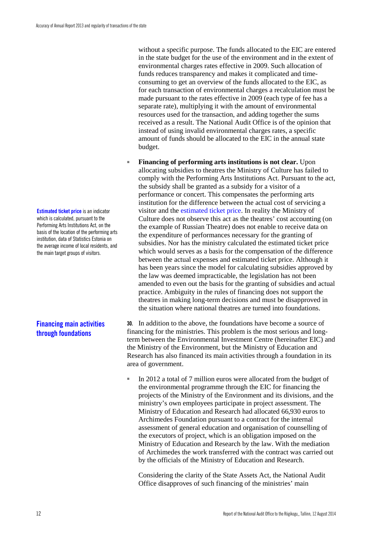**Estimated ticket price** is an indicator which is calculated, pursuant to the Performing Arts Institutions Act, on the basis of the location of the performing arts institution, data of Statistics Estonia on the average income of local residents, and the main target groups of visitors.

#### **Financing main activities through foundations**

without a specific purpose. The funds allocated to the EIC are entered in the state budget for the use of the environment and in the extent of environmental charges rates effective in 2009. Such allocation of funds reduces transparency and makes it complicated and timeconsuming to get an overview of the funds allocated to the EIC, as for each transaction of environmental charges a recalculation must be made pursuant to the rates effective in 2009 (each type of fee has a separate rate), multiplying it with the amount of environmental resources used for the transaction, and adding together the sums received as a result. The National Audit Office is of the opinion that instead of using invalid environmental charges rates, a specific amount of funds should be allocated to the EIC in the annual state budget.

**Financing of performing arts institutions is not clear.** Upon allocating subsidies to theatres the Ministry of Culture has failed to comply with the Performing Arts Institutions Act. Pursuant to the act, the subsidy shall be granted as a subsidy for a visitor of a performance or concert. This compensates the performing arts institution for the difference between the actual cost of servicing a visitor and the estimated ticket price. In reality the Ministry of Culture does not observe this act as the theatres' cost accounting (on the example of Russian Theatre) does not enable to receive data on the expenditure of performances necessary for the granting of subsidies. Nor has the ministry calculated the estimated ticket price which would serves as a basis for the compensation of the difference between the actual expenses and estimated ticket price. Although it has been years since the model for calculating subsidies approved by the law was deemed impracticable, the legislation has not been amended to even out the basis for the granting of subsidies and actual practice. Ambiguity in the rules of financing does not support the theatres in making long-term decisions and must be disapproved in the situation where national theatres are turned into foundations.

**30.** In addition to the above, the foundations have become a source of financing for the ministries. This problem is the most serious and longterm between the Environmental Investment Centre (hereinafter EIC) and the Ministry of the Environment, but the Ministry of Education and Research has also financed its main activities through a foundation in its area of government.

In 2012 a total of 7 million euros were allocated from the budget of the environmental programme through the EIC for financing the projects of the Ministry of the Environment and its divisions, and the ministry's own employees participate in project assessment. The Ministry of Education and Research had allocated 66,930 euros to Archimedes Foundation pursuant to a contract for the internal assessment of general education and organisation of counselling of the executors of project, which is an obligation imposed on the Ministry of Education and Research by the law. With the mediation of Archimedes the work transferred with the contract was carried out by the officials of the Ministry of Education and Research.

Considering the clarity of the State Assets Act, the National Audit Office disapproves of such financing of the ministries' main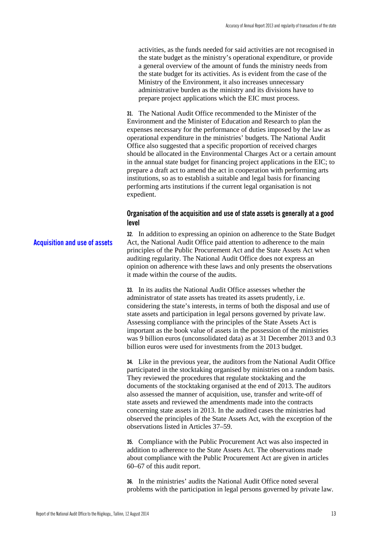activities, as the funds needed for said activities are not recognised in the state budget as the ministry's operational expenditure, or provide a general overview of the amount of funds the ministry needs from the state budget for its activities. As is evident from the case of the Ministry of the Environment, it also increases unnecessary administrative burden as the ministry and its divisions have to prepare project applications which the EIC must process.

**31.** The National Audit Office recommended to the Minister of the Environment and the Minister of Education and Research to plan the expenses necessary for the performance of duties imposed by the law as operational expenditure in the ministries' budgets. The National Audit Office also suggested that a specific proportion of received charges should be allocated in the Environmental Charges Act or a certain amount in the annual state budget for financing project applications in the EIC; to prepare a draft act to amend the act in cooperation with performing arts institutions, so as to establish a suitable and legal basis for financing performing arts institutions if the current legal organisation is not expedient.

#### <span id="page-14-0"></span>**Organisation of the acquisition and use of state assets is generally at a good level**

**32.** In addition to expressing an opinion on adherence to the State Budget Act, the National Audit Office paid attention to adherence to the main principles of the Public Procurement Act and the State Assets Act when auditing regularity. The National Audit Office does not express an opinion on adherence with these laws and only presents the observations it made within the course of the audits. **Acquisition and use of assets**

> **33.** In its audits the National Audit Office assesses whether the administrator of state assets has treated its assets prudently, i.e. considering the state's interests, in terms of both the disposal and use of state assets and participation in legal persons governed by private law. Assessing compliance with the principles of the State Assets Act is important as the book value of assets in the possession of the ministries was 9 billion euros (unconsolidated data) as at 31 December 2013 and 0.3 billion euros were used for investments from the 2013 budget.

> **34.** Like in the previous year, the auditors from the National Audit Office participated in the stocktaking organised by ministries on a random basis. They reviewed the procedures that regulate stocktaking and the documents of the stocktaking organised at the end of 2013. The auditors also assessed the manner of acquisition, use, transfer and write-off of state assets and reviewed the amendments made into the contracts concerning state assets in 2013. In the audited cases the ministries had observed the principles of the State Assets Act, with the exception of the observations listed in Articles 37–59.

**35.** Compliance with the Public Procurement Act was also inspected in addition to adherence to the State Assets Act. The observations made about compliance with the Public Procurement Act are given in articles 60–67 of this audit report.

**36.** In the ministries' audits the National Audit Office noted several problems with the participation in legal persons governed by private law.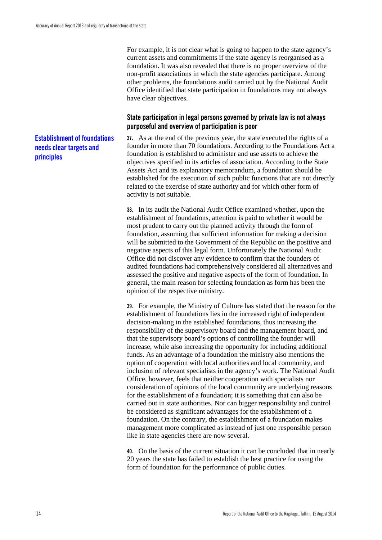For example, it is not clear what is going to happen to the state agency's current assets and commitments if the state agency is reorganised as a foundation. It was also revealed that there is no proper overview of the non-profit associations in which the state agencies participate. Among other problems, the foundations audit carried out by the National Audit Office identified that state participation in foundations may not always have clear objectives.

#### <span id="page-15-0"></span>**State participation in legal persons governed by private law is not always purposeful and overview of participation is poor**

**37.** As at the end of the previous year, the state executed the rights of a founder in more than 70 foundations. According to the Foundations Act a foundation is established to administer and use assets to achieve the objectives specified in its articles of association. According to the State Assets Act and its explanatory memorandum, a foundation should be established for the execution of such public functions that are not directly related to the exercise of state authority and for which other form of activity is not suitable.

**38.** In its audit the National Audit Office examined whether, upon the establishment of foundations, attention is paid to whether it would be most prudent to carry out the planned activity through the form of foundation, assuming that sufficient information for making a decision will be submitted to the Government of the Republic on the positive and negative aspects of this legal form. Unfortunately the National Audit Office did not discover any evidence to confirm that the founders of audited foundations had comprehensively considered all alternatives and assessed the positive and negative aspects of the form of foundation. In general, the main reason for selecting foundation as form has been the opinion of the respective ministry.

**39.** For example, the Ministry of Culture has stated that the reason for the establishment of foundations lies in the increased right of independent decision-making in the established foundations, thus increasing the responsibility of the supervisory board and the management board, and that the supervisory board's options of controlling the founder will increase, while also increasing the opportunity for including additional funds. As an advantage of a foundation the ministry also mentions the option of cooperation with local authorities and local community, and inclusion of relevant specialists in the agency's work. The National Audit Office, however, feels that neither cooperation with specialists nor consideration of opinions of the local community are underlying reasons for the establishment of a foundation; it is something that can also be carried out in state authorities. Nor can bigger responsibility and control be considered as significant advantages for the establishment of a foundation. On the contrary, the establishment of a foundation makes management more complicated as instead of just one responsible person like in state agencies there are now several.

**40.** On the basis of the current situation it can be concluded that in nearly 20 years the state has failed to establish the best practice for using the form of foundation for the performance of public duties.

#### **Establishment of foundations needs clear targets and principles**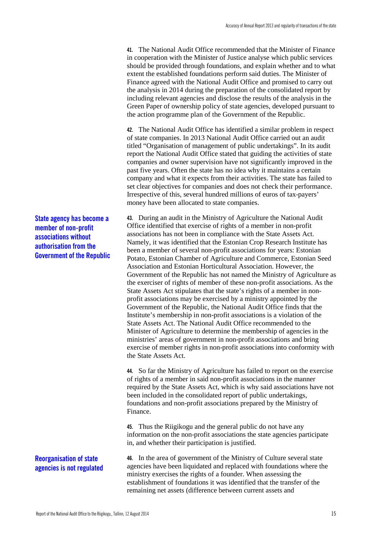**41.** The National Audit Office recommended that the Minister of Finance in cooperation with the Minister of Justice analyse which public services should be provided through foundations, and explain whether and to what extent the established foundations perform said duties. The Minister of Finance agreed with the National Audit Office and promised to carry out the analysis in 2014 during the preparation of the consolidated report by including relevant agencies and disclose the results of the analysis in the Green Paper of ownership policy of state agencies, developed pursuant to the action programme plan of the Government of the Republic.

**42.** The National Audit Office has identified a similar problem in respect of state companies. In 2013 National Audit Office carried out an audit titled "Organisation of management of public undertakings". In its audit report the National Audit Office stated that guiding the activities of state companies and owner supervision have not significantly improved in the past five years. Often the state has no idea why it maintains a certain company and what it expects from their activities. The state has failed to set clear objectives for companies and does not check their performance. Irrespective of this, several hundred millions of euros of tax-payers' money have been allocated to state companies.

**43.** During an audit in the Ministry of Agriculture the National Audit Office identified that exercise of rights of a member in non-profit associations has not been in compliance with the State Assets Act. Namely, it was identified that the Estonian Crop Research Institute has been a member of several non-profit associations for years: Estonian Potato, Estonian Chamber of Agriculture and Commerce, Estonian Seed Association and Estonian Horticultural Association. However, the Government of the Republic has not named the Ministry of Agriculture as the exerciser of rights of member of these non-profit associations. As the State Assets Act stipulates that the state's rights of a member in nonprofit associations may be exercised by a ministry appointed by the Government of the Republic, the National Audit Office finds that the Institute's membership in non-profit associations is a violation of the State Assets Act. The National Audit Office recommended to the Minister of Agriculture to determine the membership of agencies in the ministries' areas of government in non-profit associations and bring exercise of member rights in non-profit associations into conformity with the State Assets Act.

**44.** So far the Ministry of Agriculture has failed to report on the exercise of rights of a member in said non-profit associations in the manner required by the State Assets Act, which is why said associations have not been included in the consolidated report of public undertakings, foundations and non-profit associations prepared by the Ministry of Finance.

**45.** Thus the Riigikogu and the general public do not have any information on the non-profit associations the state agencies participate in, and whether their participation is justified.

**46.** In the area of government of the Ministry of Culture several state agencies have been liquidated and replaced with foundations where the ministry exercises the rights of a founder. When assessing the establishment of foundations it was identified that the transfer of the remaining net assets (difference between current assets and

**State agency has become a member of non-profit associations without authorisation from the Government of the Republic**

#### **Reorganisation of state agencies is not regulated**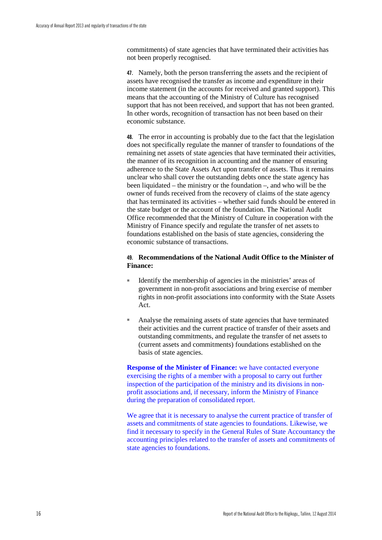commitments) of state agencies that have terminated their activities has not been properly recognised.

**47.** Namely, both the person transferring the assets and the recipient of assets have recognised the transfer as income and expenditure in their income statement (in the accounts for received and granted support). This means that the accounting of the Ministry of Culture has recognised support that has not been received, and support that has not been granted. In other words, recognition of transaction has not been based on their economic substance.

**48.** The error in accounting is probably due to the fact that the legislation does not specifically regulate the manner of transfer to foundations of the remaining net assets of state agencies that have terminated their activities, the manner of its recognition in accounting and the manner of ensuring adherence to the State Assets Act upon transfer of assets. Thus it remains unclear who shall cover the outstanding debts once the state agency has been liquidated – the ministry or the foundation –, and who will be the owner of funds received from the recovery of claims of the state agency that has terminated its activities – whether said funds should be entered in the state budget or the account of the foundation. The National Audit Office recommended that the Ministry of Culture in cooperation with the Ministry of Finance specify and regulate the transfer of net assets to foundations established on the basis of state agencies, considering the economic substance of transactions.

#### **49. Recommendations of the National Audit Office to the Minister of Finance:**

- Identify the membership of agencies in the ministries' areas of government in non-profit associations and bring exercise of member rights in non-profit associations into conformity with the State Assets Act.
- Analyse the remaining assets of state agencies that have terminated their activities and the current practice of transfer of their assets and outstanding commitments, and regulate the transfer of net assets to (current assets and commitments) foundations established on the basis of state agencies.

**Response of the Minister of Finance:** we have contacted everyone exercising the rights of a member with a proposal to carry out further inspection of the participation of the ministry and its divisions in nonprofit associations and, if necessary, inform the Ministry of Finance during the preparation of consolidated report.

We agree that it is necessary to analyse the current practice of transfer of assets and commitments of state agencies to foundations. Likewise, we find it necessary to specify in the General Rules of State Accountancy the accounting principles related to the transfer of assets and commitments of state agencies to foundations.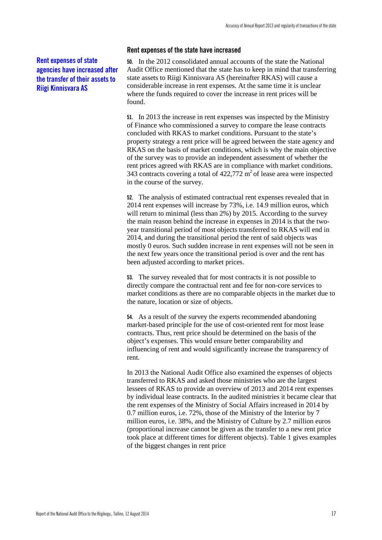#### <span id="page-18-0"></span>**Rent expenses of state agencies have increased after the transfer of their assets to Riigi Kinnisvara AS**

#### **Rent expenses of the state have increased**

**50.** In the 2012 consolidated annual accounts of the state the National Audit Office mentioned that the state has to keep in mind that transferring state assets to Riigi Kinnisvara AS (hereinafter RKAS) will cause a considerable increase in rent expenses. At the same time it is unclear where the funds required to cover the increase in rent prices will be found.

**51.** In 2013 the increase in rent expenses was inspected by the Ministry of Finance who commissioned a survey to compare the lease contracts concluded with RKAS to market conditions. Pursuant to the state's property strategy a rent price will be agreed between the state agency and RKAS on the basis of market conditions, which is why the main objective of the survey was to provide an independent assessment of whether the rent prices agreed with RKAS are in compliance with market conditions. 343 contracts covering a total of  $422,772 \text{ m}^2$  of lease area were inspected in the course of the survey.

**52.** The analysis of estimated contractual rent expenses revealed that in 2014 rent expenses will increase by 73%, i.e. 14.9 million euros, which will return to minimal (less than 2%) by 2015. According to the survey the main reason behind the increase in expenses in 2014 is that the twoyear transitional period of most objects transferred to RKAS will end in 2014, and during the transitional period the rent of said objects was mostly 0 euros. Such sudden increase in rent expenses will not be seen in the next few years once the transitional period is over and the rent has been adjusted according to market prices.

**53.** The survey revealed that for most contracts it is not possible to directly compare the contractual rent and fee for non-core services to market conditions as there are no comparable objects in the market due to the nature, location or size of objects.

**54.** As a result of the survey the experts recommended abandoning market-based principle for the use of cost-oriented rent for most lease contracts. Thus, rent price should be determined on the basis of the object's expenses. This would ensure better comparability and influencing of rent and would significantly increase the transparency of rent.

In 2013 the National Audit Office also examined the expenses of objects transferred to RKAS and asked those ministries who are the largest lessees of RKAS to provide an overview of 2013 and 2014 rent expenses by individual lease contracts. In the audited ministries it became clear that the rent expenses of the Ministry of Social Affairs increased in 2014 by 0.7 million euros, i.e. 72%, those of the Ministry of the Interior by 7 million euros, i.e. 38%, and the Ministry of Culture by 2.7 million euros (proportional increase cannot be given as the transfer to a new rent price took place at different times for different objects). Table 1 gives examples of the biggest changes in rent price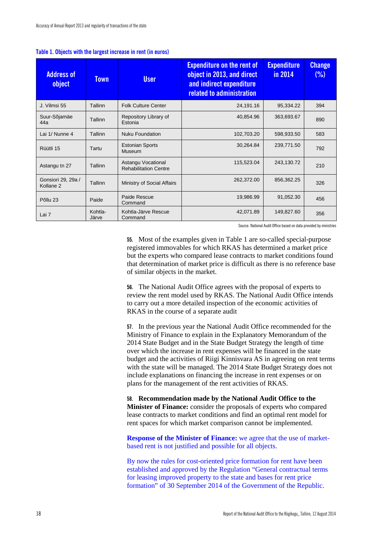| <b>Address of</b><br>object                | <b>Town</b>      | <b>User</b>                                        | <b>Expenditure on the rent of</b><br>object in 2013, and direct<br>and indirect expenditure<br>related to administration | <b>Expenditure</b><br>in 2014 | <b>Change</b><br>(% ) |
|--------------------------------------------|------------------|----------------------------------------------------|--------------------------------------------------------------------------------------------------------------------------|-------------------------------|-----------------------|
| J. Vilmsi 55                               | Tallinn          | <b>Folk Culture Center</b>                         | 24,191.16                                                                                                                | 95,334.22                     | 394                   |
| Suur-Sõjamäe<br>44a                        | Tallinn          | Repository Library of<br>Estonia                   | 40,854.96                                                                                                                | 363,693.67                    | 890                   |
| Lai 1/ Nunne 4                             | Tallinn          | Nuku Foundation                                    | 102,703.20                                                                                                               | 598,933.50                    | 583                   |
| Rüütli 15                                  | Tartu            | <b>Estonian Sports</b><br>Museum                   | 30,264.84                                                                                                                | 239,771.50                    | 792                   |
| Astangu tn 27                              | Tallinn          | Astangu Vocational<br><b>Rehabilitation Centre</b> | 115,523.04                                                                                                               | 243,130.72                    | 210                   |
| Gonsiori 29, 29a /<br>Kollane <sub>2</sub> | Tallinn          | Ministry of Social Affairs                         | 262,372.00                                                                                                               | 856,362.25                    | 326                   |
| Põllu 23                                   | Paide            | Paide Rescue<br>Command                            | 19,986.99                                                                                                                | 91,052.30                     | 456                   |
| Lai 7                                      | Kohtla-<br>Järve | Kohtla-Järve Rescue<br>Command                     | 42,071.89                                                                                                                | 149,827.60                    | 356                   |

#### **Table 1. Objects with the largest increase in rent (in euros)**

Source: National Audit Office based on data provided by ministries

**55.** Most of the examples given in Table 1 are so-called special-purpose registered immovables for which RKAS has determined a market price but the experts who compared lease contracts to market conditions found that determination of market price is difficult as there is no reference base of similar objects in the market.

**56.** The National Audit Office agrees with the proposal of experts to review the rent model used by RKAS. The National Audit Office intends to carry out a more detailed inspection of the economic activities of RKAS in the course of a separate audit

**57.** In the previous year the National Audit Office recommended for the Ministry of Finance to explain in the Explanatory Memorandum of the 2014 State Budget and in the State Budget Strategy the length of time over which the increase in rent expenses will be financed in the state budget and the activities of Riigi Kinnisvara AS in agreeing on rent terms with the state will be managed. The 2014 State Budget Strategy does not include explanations on financing the increase in rent expenses or on plans for the management of the rent activities of RKAS.

**58. Recommendation made by the National Audit Office to the Minister of Finance:** consider the proposals of experts who compared lease contracts to market conditions and find an optimal rent model for rent spaces for which market comparison cannot be implemented.

**Response of the Minister of Finance:** we agree that the use of marketbased rent is not justified and possible for all objects.

By now the rules for cost-oriented price formation for rent have been established and approved by the Regulation "General contractual terms for leasing improved property to the state and bases for rent price formation" of 30 September 2014 of the Government of the Republic.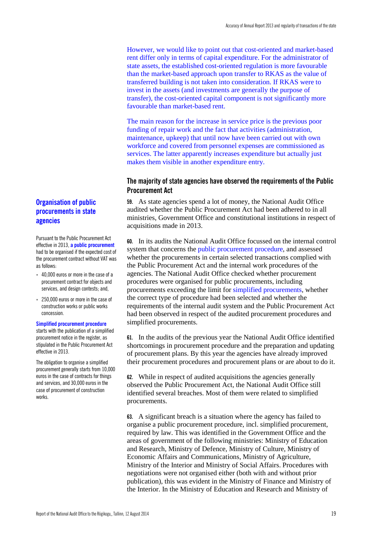However, we would like to point out that cost-oriented and market-based rent differ only in terms of capital expenditure. For the administrator of state assets, the established cost-oriented regulation is more favourable than the market-based approach upon transfer to RKAS as the value of transferred building is not taken into consideration. If RKAS were to invest in the assets (and investments are generally the purpose of transfer), the cost-oriented capital component is not significantly more favourable than market-based rent.

The main reason for the increase in service price is the previous poor funding of repair work and the fact that activities (administration, maintenance, upkeep) that until now have been carried out with own workforce and covered from personnel expenses are commissioned as services. The latter apparently increases expenditure but actually just makes them visible in another expenditure entry.

#### <span id="page-20-0"></span>**The majority of state agencies have observed the requirements of the Public Procurement Act**

**59.** As state agencies spend a lot of money, the National Audit Office audited whether the Public Procurement Act had been adhered to in all ministries, Government Office and constitutional institutions in respect of acquisitions made in 2013.

**60.** In its audits the National Audit Office focussed on the internal control system that concerns the public procurement procedure, and assessed whether the procurements in certain selected transactions complied with the Public Procurement Act and the internal work procedures of the agencies. The National Audit Office checked whether procurement procedures were organised for public procurements, including procurements exceeding the limit for simplified procurements, whether the correct type of procedure had been selected and whether the requirements of the internal audit system and the Public Procurement Act had been observed in respect of the audited procurement procedures and simplified procurements.

**61.** In the audits of the previous year the National Audit Office identified shortcomings in procurement procedure and the preparation and updating of procurement plans. By this year the agencies have already improved their procurement procedures and procurement plans or are about to do it.

**62.** While in respect of audited acquisitions the agencies generally observed the Public Procurement Act, the National Audit Office still identified several breaches. Most of them were related to simplified procurements.

**63.** A significant breach is a situation where the agency has failed to organise a public procurement procedure, incl. simplified procurement, required by law. This was identified in the Government Office and the areas of government of the following ministries: Ministry of Education and Research, Ministry of Defence, Ministry of Culture, Ministry of Economic Affairs and Communications, Ministry of Agriculture, Ministry of the Interior and Ministry of Social Affairs. Procedures with negotiations were not organised either (both with and without prior publication), this was evident in the Ministry of Finance and Ministry of the Interior. In the Ministry of Education and Research and Ministry of

### **Organisation of public procurements in state agencies**

Pursuant to the Public Procurement Act effective in 2013, **a public procurement**  had to be organised if the expected cost of the procurement contract without VAT was as follows:

- 40,000 euros or more in the case of a procurement contract for objects and services, and design contests; and,
- 250,000 euros or more in the case of construction works or public works concession.

#### **Simplified procurement procedure**

starts with the publication of a simplified procurement notice in the register, as stipulated in the Public Procurement Act effective in 2013.

The obligation to organise a simplified procurement generally starts from 10,000 euros in the case of contracts for things and services, and 30,000 euros in the case of procurement of construction works.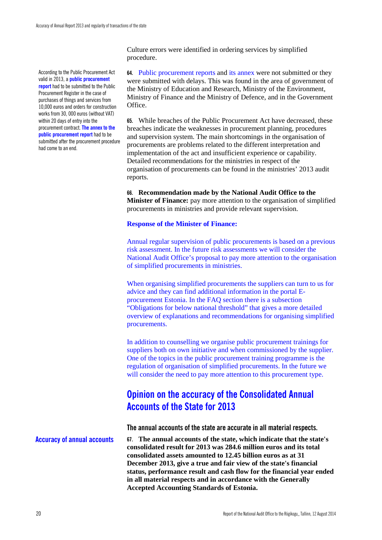According to the Public Procurement Act valid in 2013, a **public procurement report** had to be submitted to the Public Procurement Register in the case of purchases of things and services from 10,000 euros and orders for construction works from 30, 000 euros (without VAT) within 20 days of entry into the procurement contract. **The annex to the public procurement report** had to be submitted after the procurement procedure had come to an end.

Culture errors were identified in ordering services by simplified procedure.

**64.** Public procurement reports and its annex were not submitted or they were submitted with delays. This was found in the area of government of the Ministry of Education and Research, Ministry of the Environment, Ministry of Finance and the Ministry of Defence, and in the Government Office.

**65.** While breaches of the Public Procurement Act have decreased, these breaches indicate the weaknesses in procurement planning, procedures and supervision system. The main shortcomings in the organisation of procurements are problems related to the different interpretation and implementation of the act and insufficient experience or capability. Detailed recommendations for the ministries in respect of the organisation of procurements can be found in the ministries' 2013 audit reports.

**66. Recommendation made by the National Audit Office to the Minister of Finance:** pay more attention to the organisation of simplified procurements in ministries and provide relevant supervision.

#### **Response of the Minister of Finance:**

Annual regular supervision of public procurements is based on a previous risk assessment. In the future risk assessments we will consider the National Audit Office's proposal to pay more attention to the organisation of simplified procurements in ministries.

When organising simplified procurements the suppliers can turn to us for advice and they can find additional information in the portal Eprocurement Estonia. In the FAQ section there is a subsection "Obligations for below national threshold" that gives a more detailed overview of explanations and recommendations for organising simplified procurements.

In addition to counselling we organise public procurement trainings for suppliers both on own initiative and when commissioned by the supplier. One of the topics in the public procurement training programme is the regulation of organisation of simplified procurements. In the future we will consider the need to pay more attention to this procurement type.

### <span id="page-21-0"></span>**Opinion on the accuracy of the Consolidated Annual Accounts of the State for 2013**

<span id="page-21-1"></span>**The annual accounts of the state are accurate in all material respects.**

**Accuracy of annual accounts**

**67. The annual accounts of the state, which indicate that the state's consolidated result for 2013 was 284.6 million euros and its total consolidated assets amounted to 12.45 billion euros as at 31 December 2013, give a true and fair view of the state's financial status, performance result and cash flow for the financial year ended in all material respects and in accordance with the Generally Accepted Accounting Standards of Estonia.**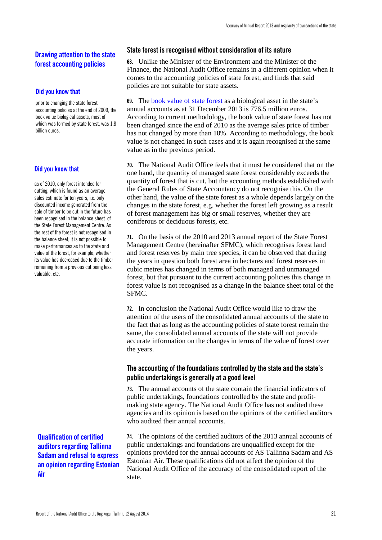#### **Drawing attention to the state forest accounting policies**

#### **Did you know that**

prior to changing the state forest accounting policies at the end of 2009, the book value biological assets, most of which was formed by state forest, was 1.8 billion euros.

#### **Did you know that**

as of 2010, only forest intended for cutting, which is found as an average sales estimate for ten years, i.e. only discounted income generated from the sale of timber to be cut in the future has been recognised in the balance sheet of the State Forest Management Centre. As the rest of the forest is not recognised in the balance sheet, it is not possible to make performances as to the state and value of the forest, for example, whether its value has decreased due to the timber remaining from a previous cut being less valuable, etc.

**Qualification of certified auditors regarding Tallinna Sadam and refusal to express an opinion regarding Estonian Air**

#### <span id="page-22-0"></span>**State forest is recognised without consideration of its nature**

**68.** Unlike the Minister of the Environment and the Minister of the Finance, the National Audit Office remains in a different opinion when it comes to the accounting policies of state forest, and finds that said policies are not suitable for state assets.

**69.** The book value of state forest as a biological asset in the state's annual accounts as at 31 December 2013 is 776.5 million euros. According to current methodology, the book value of state forest has not been changed since the end of 2010 as the average sales price of timber has not changed by more than 10%. According to methodology, the book value is not changed in such cases and it is again recognised at the same value as in the previous period.

**70.** The National Audit Office feels that it must be considered that on the one hand, the quantity of managed state forest considerably exceeds the quantity of forest that is cut, but the accounting methods established with the General Rules of State Accountancy do not recognise this. On the other hand, the value of the state forest as a whole depends largely on the changes in the state forest, e.g. whether the forest left growing as a result of forest management has big or small reserves, whether they are coniferous or deciduous forests, etc.

**71.** On the basis of the 2010 and 2013 annual report of the State Forest Management Centre (hereinafter SFMC), which recognises forest land and forest reserves by main tree species, it can be observed that during the years in question both forest area in hectares and forest reserves in cubic metres has changed in terms of both managed and unmanaged forest, but that pursuant to the current accounting policies this change in forest value is not recognised as a change in the balance sheet total of the SFMC.

**72.** In conclusion the National Audit Office would like to draw the attention of the users of the consolidated annual accounts of the state to the fact that as long as the accounting policies of state forest remain the same, the consolidated annual accounts of the state will not provide accurate information on the changes in terms of the value of forest over the years.

#### <span id="page-22-1"></span>**The accounting of the foundations controlled by the state and the state's public undertakings is generally at a good level**

**73.** The annual accounts of the state contain the financial indicators of public undertakings, foundations controlled by the state and profitmaking state agency. The National Audit Office has not audited these agencies and its opinion is based on the opinions of the certified auditors who audited their annual accounts.

**74.** The opinions of the certified auditors of the 2013 annual accounts of public undertakings and foundations are unqualified except for the opinions provided for the annual accounts of AS Tallinna Sadam and AS Estonian Air. These qualifications did not affect the opinion of the National Audit Office of the accuracy of the consolidated report of the state.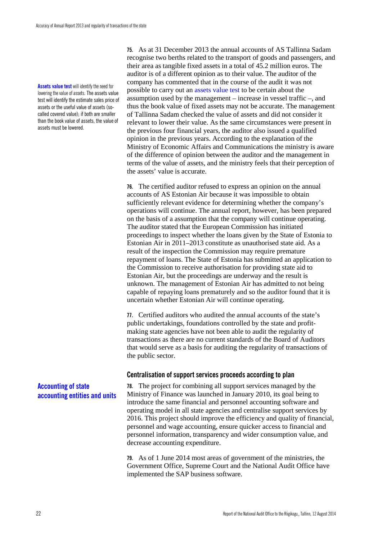**Assets value test** will identify the need for lowering the value of assets. The assets value test will identify the estimate sales price of assets or the useful value of assets (socalled covered value); if both are smaller than the book value of assets, the value of assets must be lowered.

**75.** As at 31 December 2013 the annual accounts of AS Tallinna Sadam recognise two berths related to the transport of goods and passengers, and their area as tangible fixed assets in a total of 45.2 million euros. The auditor is of a different opinion as to their value. The auditor of the company has commented that in the course of the audit it was not possible to carry out an assets value test to be certain about the assumption used by the management – increase in vessel traffic –, and thus the book value of fixed assets may not be accurate. The management of Tallinna Sadam checked the value of assets and did not consider it relevant to lower their value. As the same circumstances were present in the previous four financial years, the auditor also issued a qualified opinion in the previous years. According to the explanation of the Ministry of Economic Affairs and Communications the ministry is aware of the difference of opinion between the auditor and the management in terms of the value of assets, and the ministry feels that their perception of the assets' value is accurate.

**76.** The certified auditor refused to express an opinion on the annual accounts of AS Estonian Air because it was impossible to obtain sufficiently relevant evidence for determining whether the company's operations will continue. The annual report, however, has been prepared on the basis of a assumption that the company will continue operating. The auditor stated that the European Commission has initiated proceedings to inspect whether the loans given by the State of Estonia to Estonian Air in 2011–2013 constitute as unauthorised state aid. As a result of the inspection the Commission may require premature repayment of loans. The State of Estonia has submitted an application to the Commission to receive authorisation for providing state aid to Estonian Air, but the proceedings are underway and the result is unknown. The management of Estonian Air has admitted to not being capable of repaying loans prematurely and so the auditor found that it is uncertain whether Estonian Air will continue operating.

**77.** Certified auditors who audited the annual accounts of the state's public undertakings, foundations controlled by the state and profitmaking state agencies have not been able to audit the regularity of transactions as there are no current standards of the Board of Auditors that would serve as a basis for auditing the regularity of transactions of the public sector.

#### <span id="page-23-0"></span>**Centralisation of support services proceeds according to plan**

**78.** The project for combining all support services managed by the Ministry of Finance was launched in January 2010, its goal being to introduce the same financial and personnel accounting software and operating model in all state agencies and centralise support services by 2016. This project should improve the efficiency and quality of financial, personnel and wage accounting, ensure quicker access to financial and personnel information, transparency and wider consumption value, and decrease accounting expenditure.

**79.** As of 1 June 2014 most areas of government of the ministries, the Government Office, Supreme Court and the National Audit Office have implemented the SAP business software.

#### **Accounting of state accounting entities and units**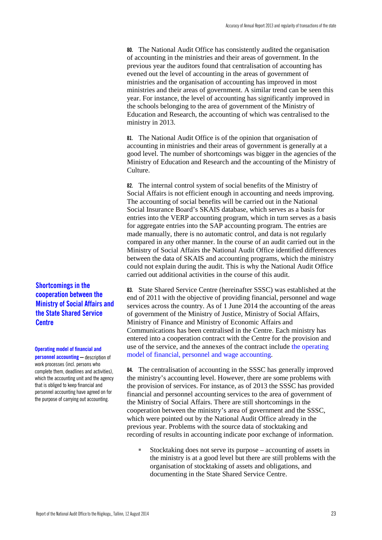**80.** The National Audit Office has consistently audited the organisation of accounting in the ministries and their areas of government. In the previous year the auditors found that centralisation of accounting has evened out the level of accounting in the areas of government of ministries and the organisation of accounting has improved in most ministries and their areas of government. A similar trend can be seen this year. For instance, the level of accounting has significantly improved in the schools belonging to the area of government of the Ministry of Education and Research, the accounting of which was centralised to the ministry in 2013.

**81.** The National Audit Office is of the opinion that organisation of accounting in ministries and their areas of government is generally at a good level. The number of shortcomings was bigger in the agencies of the Ministry of Education and Research and the accounting of the Ministry of Culture.

**82.** The internal control system of social benefits of the Ministry of Social Affairs is not efficient enough in accounting and needs improving. The accounting of social benefits will be carried out in the National Social Insurance Board's SKAIS database, which serves as a basis for entries into the VERP accounting program, which in turn serves as a basis for aggregate entries into the SAP accounting program. The entries are made manually, there is no automatic control, and data is not regularly compared in any other manner. In the course of an audit carried out in the Ministry of Social Affairs the National Audit Office identified differences between the data of SKAIS and accounting programs, which the ministry could not explain during the audit. This is why the National Audit Office carried out additional activities in the course of this audit.

**83.** State Shared Service Centre (hereinafter SSSC) was established at the end of 2011 with the objective of providing financial, personnel and wage services across the country. As of 1 June 2014 the accounting of the areas of government of the Ministry of Justice, Ministry of Social Affairs, Ministry of Finance and Ministry of Economic Affairs and Communications has been centralised in the Centre. Each ministry has entered into a cooperation contract with the Centre for the provision and use of the service, and the annexes of the contract include the operating model of financial, personnel and wage accounting.

**84.** The centralisation of accounting in the SSSC has generally improved the ministry's accounting level. However, there are some problems with the provision of services. For instance, as of 2013 the SSSC has provided financial and personnel accounting services to the area of government of the Ministry of Social Affairs. There are still shortcomings in the cooperation between the ministry's area of government and the SSSC, which were pointed out by the National Audit Office already in the previous year. Problems with the source data of stocktaking and recording of results in accounting indicate poor exchange of information.

■ Stocktaking does not serve its purpose – accounting of assets in the ministry is at a good level but there are still problems with the organisation of stocktaking of assets and obligations, and documenting in the State Shared Service Centre.

**Shortcomings in the cooperation between the Ministry of Social Affairs and the State Shared Service Centre**

#### **Operating model of financial and**

**personnel accounting** – description of work processes (incl. persons who complete them, deadlines and activities), which the accounting unit and the agency that is obliged to keep financial and personnel accounting have agreed on for the purpose of carrying out accounting.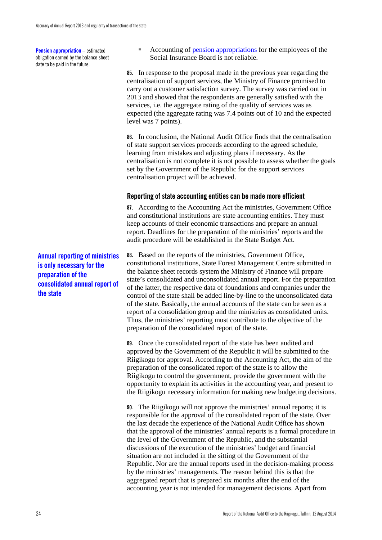**Pension appropriation** – estimated obligation earned by the balance sheet date to be paid in the future.

■ Accounting of pension appropriations for the employees of the Social Insurance Board is not reliable.

**85.** In response to the proposal made in the previous year regarding the centralisation of support services, the Ministry of Finance promised to carry out a customer satisfaction survey. The survey was carried out in 2013 and showed that the respondents are generally satisfied with the services, i.e. the aggregate rating of the quality of services was as expected (the aggregate rating was 7.4 points out of 10 and the expected level was 7 points).

**86.** In conclusion, the National Audit Office finds that the centralisation of state support services proceeds according to the agreed schedule, learning from mistakes and adjusting plans if necessary. As the centralisation is not complete it is not possible to assess whether the goals set by the Government of the Republic for the support services centralisation project will be achieved.

#### <span id="page-25-0"></span>**Reporting of state accounting entities can be made more efficient**

**87.** According to the Accounting Act the ministries, Government Office and constitutional institutions are state accounting entities. They must keep accounts of their economic transactions and prepare an annual report. Deadlines for the preparation of the ministries' reports and the audit procedure will be established in the State Budget Act.

**88.** Based on the reports of the ministries, Government Office, constitutional institutions, State Forest Management Centre submitted in the balance sheet records system the Ministry of Finance will prepare state's consolidated and unconsolidated annual report. For the preparation of the latter, the respective data of foundations and companies under the control of the state shall be added line-by-line to the unconsolidated data of the state. Basically, the annual accounts of the state can be seen as a report of a consolidation group and the ministries as consolidated units. Thus, the ministries' reporting must contribute to the objective of the preparation of the consolidated report of the state.

**89.** Once the consolidated report of the state has been audited and approved by the Government of the Republic it will be submitted to the Riigikogu for approval. According to the Accounting Act, the aim of the preparation of the consolidated report of the state is to allow the Riigikogu to control the government, provide the government with the opportunity to explain its activities in the accounting year, and present to the Riigikogu necessary information for making new budgeting decisions.

**90.** The Riigikogu will not approve the ministries' annual reports; it is responsible for the approval of the consolidated report of the state. Over the last decade the experience of the National Audit Office has shown that the approval of the ministries' annual reports is a formal procedure in the level of the Government of the Republic, and the substantial discussions of the execution of the ministries' budget and financial situation are not included in the sitting of the Government of the Republic. Nor are the annual reports used in the decision-making process by the ministries' managements. The reason behind this is that the aggregated report that is prepared six months after the end of the accounting year is not intended for management decisions. Apart from

**Annual reporting of ministries is only necessary for the preparation of the consolidated annual report of the state**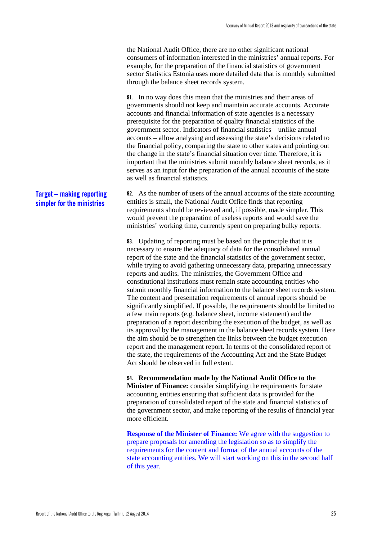the National Audit Office, there are no other significant national consumers of information interested in the ministries' annual reports. For example, for the preparation of the financial statistics of government sector Statistics Estonia uses more detailed data that is monthly submitted through the balance sheet records system.

**91.** In no way does this mean that the ministries and their areas of governments should not keep and maintain accurate accounts. Accurate accounts and financial information of state agencies is a necessary prerequisite for the preparation of quality financial statistics of the government sector. Indicators of financial statistics – unlike annual accounts – allow analysing and assessing the state's decisions related to the financial policy, comparing the state to other states and pointing out the change in the state's financial situation over time. Therefore, it is important that the ministries submit monthly balance sheet records, as it serves as an input for the preparation of the annual accounts of the state as well as financial statistics.

**92.** As the number of users of the annual accounts of the state accounting entities is small, the National Audit Office finds that reporting requirements should be reviewed and, if possible, made simpler. This would prevent the preparation of useless reports and would save the ministries' working time, currently spent on preparing bulky reports. **Target – making reporting simpler for the ministries**

> **93.** Updating of reporting must be based on the principle that it is necessary to ensure the adequacy of data for the consolidated annual report of the state and the financial statistics of the government sector, while trying to avoid gathering unnecessary data, preparing unnecessary reports and audits. The ministries, the Government Office and constitutional institutions must remain state accounting entities who submit monthly financial information to the balance sheet records system. The content and presentation requirements of annual reports should be significantly simplified. If possible, the requirements should be limited to a few main reports (e.g. balance sheet, income statement) and the preparation of a report describing the execution of the budget, as well as its approval by the management in the balance sheet records system. Here the aim should be to strengthen the links between the budget execution report and the management report. In terms of the consolidated report of the state, the requirements of the Accounting Act and the State Budget Act should be observed in full extent.

> **94. Recommendation made by the National Audit Office to the Minister of Finance:** consider simplifying the requirements for state accounting entities ensuring that sufficient data is provided for the preparation of consolidated report of the state and financial statistics of the government sector, and make reporting of the results of financial year more efficient.

> **Response of the Minister of Finance:** We agree with the suggestion to prepare proposals for amending the legislation so as to simplify the requirements for the content and format of the annual accounts of the state accounting entities. We will start working on this in the second half of this year.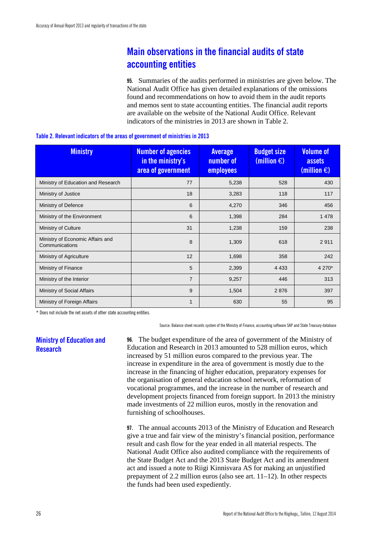### <span id="page-27-0"></span>**Main observations in the financial audits of state accounting entities**

**95.** Summaries of the audits performed in ministries are given below. The National Audit Office has given detailed explanations of the omissions found and recommendations on how to avoid them in the audit reports and memos sent to state accounting entities. The financial audit reports are available on the website of the National Audit Office. Relevant indicators of the ministries in 2013 are shown in Table 2.

| <b>Ministry</b>                                    | <b>Number of agencies</b><br>in the ministry's<br>area of government | <b>Average</b><br>number of<br><b>employees</b> | <b>Budget size</b><br>(million $\bigoplus$ | <b>Volume of</b><br>assets<br>(million $\bigoplus$ |
|----------------------------------------------------|----------------------------------------------------------------------|-------------------------------------------------|--------------------------------------------|----------------------------------------------------|
| Ministry of Education and Research                 | 77                                                                   | 5,238                                           | 528                                        | 430                                                |
| Ministry of Justice                                | 18                                                                   | 3,283                                           | 118                                        | 117                                                |
| Ministry of Defence                                | 6                                                                    | 4,270                                           | 346                                        | 456                                                |
| Ministry of the Environment                        | 6                                                                    | 1,398                                           | 284                                        | 1 4 7 8                                            |
| Ministry of Culture                                | 31                                                                   | 1,238                                           | 159                                        | 238                                                |
| Ministry of Economic Affairs and<br>Communications | 8                                                                    | 1,309                                           | 618                                        | 2911                                               |
| Ministry of Agriculture                            | 12                                                                   | 1,698                                           | 358                                        | 242                                                |
| Ministry of Finance                                | 5                                                                    | 2,399                                           | 4 4 3 3                                    | 4 270*                                             |
| Ministry of the Interior                           | $\overline{7}$                                                       | 9,257                                           | 446                                        | 313                                                |
| Ministry of Social Affairs                         | 9                                                                    | 1,504                                           | 2876                                       | 397                                                |
| Ministry of Foreign Affairs                        | $\mathbf{1}$                                                         | 630                                             | 55                                         | 95                                                 |

\* Does not include the net assets of other state accounting entities.

Source: Balance sheet records system of the Ministry of Finance, accounting software SAP and State Treasury database

#### <span id="page-27-1"></span>**Ministry of Education and Research**

**96.** The budget expenditure of the area of government of the Ministry of Education and Research in 2013 amounted to 528 million euros, which increased by 51 million euros compared to the previous year. The increase in expenditure in the area of government is mostly due to the increase in the financing of higher education, preparatory expenses for the organisation of general education school network, reformation of vocational programmes, and the increase in the number of research and development projects financed from foreign support. In 2013 the ministry made investments of 22 million euros, mostly in the renovation and furnishing of schoolhouses.

**97.** The annual accounts 2013 of the Ministry of Education and Research give a true and fair view of the ministry's financial position, performance result and cash flow for the year ended in all material respects. The National Audit Office also audited compliance with the requirements of the State Budget Act and the 2013 State Budget Act and its amendment act and issued a note to Riigi Kinnisvara AS for making an unjustified prepayment of 2.2 million euros (also see art. 11–12). In other respects the funds had been used expediently.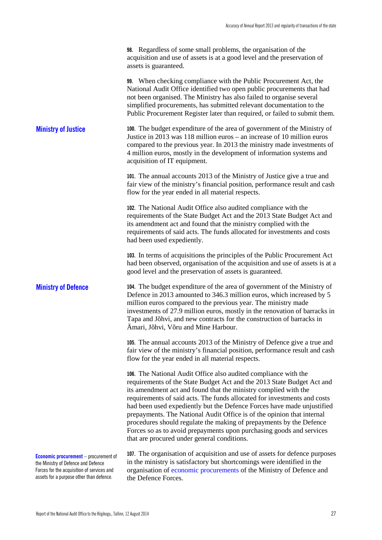|  | <b>98.</b> Regardless of some small problems, the organisation of the    |
|--|--------------------------------------------------------------------------|
|  | acquisition and use of assets is at a good level and the preservation of |
|  | assets is guaranteed.                                                    |

**99.** When checking compliance with the Public Procurement Act, the National Audit Office identified two open public procurements that had not been organised. The Ministry has also failed to organise several simplified procurements, has submitted relevant documentation to the Public Procurement Register later than required, or failed to submit them.

<span id="page-28-0"></span>**100.** The budget expenditure of the area of government of the Ministry of Justice in 2013 was 118 million euros – an increase of 10 million euros compared to the previous year. In 2013 the ministry made investments of 4 million euros, mostly in the development of information systems and acquisition of IT equipment. **Ministry of Justice**

> **101.** The annual accounts 2013 of the Ministry of Justice give a true and fair view of the ministry's financial position, performance result and cash flow for the year ended in all material respects.

**102.** The National Audit Office also audited compliance with the requirements of the State Budget Act and the 2013 State Budget Act and its amendment act and found that the ministry complied with the requirements of said acts. The funds allocated for investments and costs had been used expediently.

**103.** In terms of acquisitions the principles of the Public Procurement Act had been observed, organisation of the acquisition and use of assets is at a good level and the preservation of assets is guaranteed.

<span id="page-28-1"></span>**104.** The budget expenditure of the area of government of the Ministry of Defence in 2013 amounted to 346.3 million euros, which increased by 5 million euros compared to the previous year. The ministry made investments of 27.9 million euros, mostly in the renovation of barracks in Tapa and Jõhvi, and new contracts for the construction of barracks in Ämari, Jõhvi, Võru and Mine Harbour. **Ministry of Defence**

> **105.** The annual accounts 2013 of the Ministry of Defence give a true and fair view of the ministry's financial position, performance result and cash flow for the year ended in all material respects.

> **106.** The National Audit Office also audited compliance with the requirements of the State Budget Act and the 2013 State Budget Act and its amendment act and found that the ministry complied with the requirements of said acts. The funds allocated for investments and costs had been used expediently but the Defence Forces have made unjustified prepayments. The National Audit Office is of the opinion that internal procedures should regulate the making of prepayments by the Defence Forces so as to avoid prepayments upon purchasing goods and services that are procured under general conditions.

**Economic procurement** – procurement of the Ministry of Defence and Defence Forces for the acquisition of services and assets for a purpose other than defence.

**107.** The organisation of acquisition and use of assets for defence purposes in the ministry is satisfactory but shortcomings were identified in the organisation of economic procurements of the Ministry of Defence and the Defence Forces.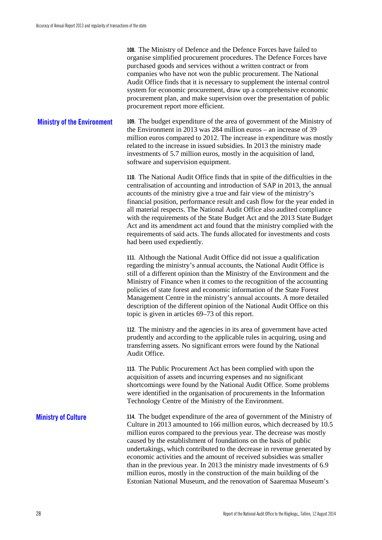**108.** The Ministry of Defence and the Defence Forces have failed to organise simplified procurement procedures. The Defence Forces have purchased goods and services without a written contract or from companies who have not won the public procurement. The National Audit Office finds that it is necessary to supplement the internal control system for economic procurement, draw up a comprehensive economic procurement plan, and make supervision over the presentation of public procurement report more efficient.

<span id="page-29-0"></span>**109.** The budget expenditure of the area of government of the Ministry of the Environment in 2013 was 284 million euros – an increase of 39 million euros compared to 2012. The increase in expenditure was mostly related to the increase in issued subsidies. In 2013 the ministry made investments of 5.7 million euros, mostly in the acquisition of land, software and supervision equipment. **Ministry of the Environment**

> **110.** The National Audit Office finds that in spite of the difficulties in the centralisation of accounting and introduction of SAP in 2013, the annual accounts of the ministry give a true and fair view of the ministry's financial position, performance result and cash flow for the year ended in all material respects. The National Audit Office also audited compliance with the requirements of the State Budget Act and the 2013 State Budget Act and its amendment act and found that the ministry complied with the requirements of said acts. The funds allocated for investments and costs had been used expediently.

**111.** Although the National Audit Office did not issue a qualification regarding the ministry's annual accounts, the National Audit Office is still of a different opinion than the Ministry of the Environment and the Ministry of Finance when it comes to the recognition of the accounting policies of state forest and economic information of the State Forest Management Centre in the ministry's annual accounts. A more detailed description of the different opinion of the National Audit Office on this topic is given in articles 69–73 of this report.

**112.** The ministry and the agencies in its area of government have acted prudently and according to the applicable rules in acquiring, using and transferring assets. No significant errors were found by the National Audit Office.

**113.** The Public Procurement Act has been complied with upon the acquisition of assets and incurring expenses and no significant shortcomings were found by the National Audit Office. Some problems were identified in the organisation of procurements in the Information Technology Centre of the Ministry of the Environment.

<span id="page-29-1"></span>**114.** The budget expenditure of the area of government of the Ministry of Culture in 2013 amounted to 166 million euros, which decreased by 10.5 million euros compared to the previous year. The decrease was mostly caused by the establishment of foundations on the basis of public undertakings, which contributed to the decrease in revenue generated by economic activities and the amount of received subsidies was smaller than in the previous year. In 2013 the ministry made investments of 6.9 million euros, mostly in the construction of the main building of the Estonian National Museum, and the renovation of Saaremaa Museum's **Ministry of Culture**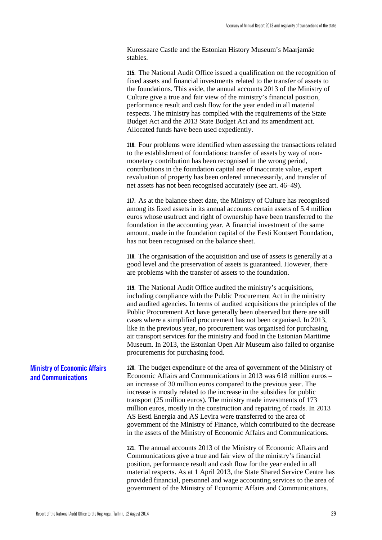Kuressaare Castle and the Estonian History Museum's Maarjamäe stables.

**115.** The National Audit Office issued a qualification on the recognition of fixed assets and financial investments related to the transfer of assets to the foundations. This aside, the annual accounts 2013 of the Ministry of Culture give a true and fair view of the ministry's financial position, performance result and cash flow for the year ended in all material respects. The ministry has complied with the requirements of the State Budget Act and the 2013 State Budget Act and its amendment act. Allocated funds have been used expediently.

**116.** Four problems were identified when assessing the transactions related to the establishment of foundations: transfer of assets by way of nonmonetary contribution has been recognised in the wrong period, contributions in the foundation capital are of inaccurate value, expert revaluation of property has been ordered unnecessarily, and transfer of net assets has not been recognised accurately (see art. 46–49).

**117.** As at the balance sheet date, the Ministry of Culture has recognised among its fixed assets in its annual accounts certain assets of 5.4 million euros whose usufruct and right of ownership have been transferred to the foundation in the accounting year. A financial investment of the same amount, made in the foundation capital of the Eesti Kontsert Foundation, has not been recognised on the balance sheet.

**118.** The organisation of the acquisition and use of assets is generally at a good level and the preservation of assets is guaranteed. However, there are problems with the transfer of assets to the foundation.

**119.** The National Audit Office audited the ministry's acquisitions, including compliance with the Public Procurement Act in the ministry and audited agencies. In terms of audited acquisitions the principles of the Public Procurement Act have generally been observed but there are still cases where a simplified procurement has not been organised. In 2013, like in the previous year, no procurement was organised for purchasing air transport services for the ministry and food in the Estonian Maritime Museum. In 2013, the Estonian Open Air Museum also failed to organise procurements for purchasing food.

**120.** The budget expenditure of the area of government of the Ministry of Economic Affairs and Communications in 2013 was 618 million euros – an increase of 30 million euros compared to the previous year. The increase is mostly related to the increase in the subsidies for public transport (25 million euros). The ministry made investments of 173 million euros, mostly in the construction and repairing of roads. In 2013 AS Eesti Energia and AS Levira were transferred to the area of government of the Ministry of Finance, which contributed to the decrease in the assets of the Ministry of Economic Affairs and Communications.

**121.** The annual accounts 2013 of the Ministry of Economic Affairs and Communications give a true and fair view of the ministry's financial position, performance result and cash flow for the year ended in all material respects. As at 1 April 2013, the State Shared Service Centre has provided financial, personnel and wage accounting services to the area of government of the Ministry of Economic Affairs and Communications.

#### <span id="page-30-0"></span>**Ministry of Economic Affairs and Communications**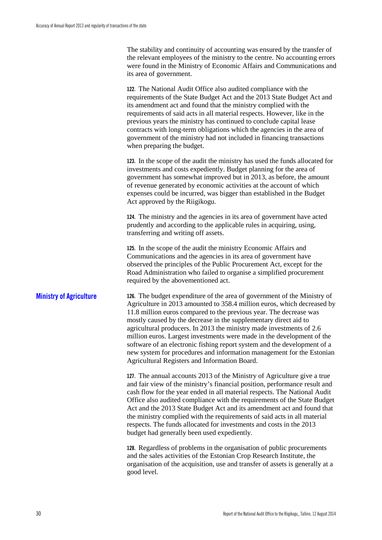The stability and continuity of accounting was ensured by the transfer of the relevant employees of the ministry to the centre. No accounting errors were found in the Ministry of Economic Affairs and Communications and its area of government.

**122.** The National Audit Office also audited compliance with the requirements of the State Budget Act and the 2013 State Budget Act and its amendment act and found that the ministry complied with the requirements of said acts in all material respects. However, like in the previous years the ministry has continued to conclude capital lease contracts with long-term obligations which the agencies in the area of government of the ministry had not included in financing transactions when preparing the budget.

**123.** In the scope of the audit the ministry has used the funds allocated for investments and costs expediently. Budget planning for the area of government has somewhat improved but in 2013, as before, the amount of revenue generated by economic activities at the account of which expenses could be incurred, was bigger than established in the Budget Act approved by the Riigikogu.

**124.** The ministry and the agencies in its area of government have acted prudently and according to the applicable rules in acquiring, using, transferring and writing off assets.

**125.** In the scope of the audit the ministry Economic Affairs and Communications and the agencies in its area of government have observed the principles of the Public Procurement Act, except for the Road Administration who failed to organise a simplified procurement required by the abovementioned act.

#### <span id="page-31-0"></span>**Ministry of Agriculture**

**126.** The budget expenditure of the area of government of the Ministry of Agriculture in 2013 amounted to 358.4 million euros, which decreased by 11.8 million euros compared to the previous year. The decrease was mostly caused by the decrease in the supplementary direct aid to agricultural producers. In 2013 the ministry made investments of 2.6 million euros. Largest investments were made in the development of the software of an electronic fishing report system and the development of a new system for procedures and information management for the Estonian Agricultural Registers and Information Board.

**127.** The annual accounts 2013 of the Ministry of Agriculture give a true and fair view of the ministry's financial position, performance result and cash flow for the year ended in all material respects. The National Audit Office also audited compliance with the requirements of the State Budget Act and the 2013 State Budget Act and its amendment act and found that the ministry complied with the requirements of said acts in all material respects. The funds allocated for investments and costs in the 2013 budget had generally been used expediently.

**128.** Regardless of problems in the organisation of public procurements and the sales activities of the Estonian Crop Research Institute, the organisation of the acquisition, use and transfer of assets is generally at a good level.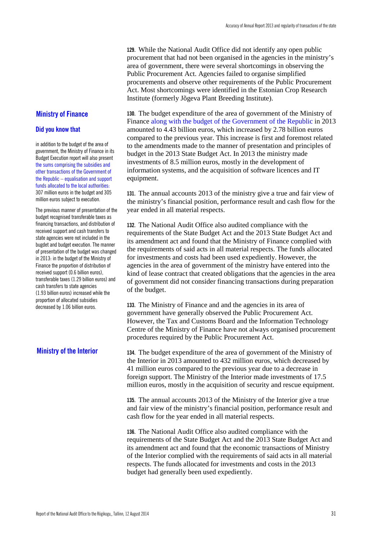**129.** While the National Audit Office did not identify any open public procurement that had not been organised in the agencies in the ministry's area of government, there were several shortcomings in observing the Public Procurement Act. Agencies failed to organise simplified procurements and observe other requirements of the Public Procurement Act. Most shortcomings were identified in the Estonian Crop Research Institute (formerly Jõgeva Plant Breeding Institute).

### <span id="page-32-0"></span>**Ministry of Finance**

#### **Did you know that**

in addition to the budget of the area of government, the Ministry of Finance in its Budget Execution report will also present the sums comprising the subsidies and other transactions of the Government of the Republic – equalisation and support funds allocated to the local authorities: 307 million euros in the budget and 305 million euros subject to execution.

The previous manner of presentation of the budget recognised transferable taxes as financing transactions, and distribution of received support and cash transfers to state agencies were not included in the bugdet and budget execution. The manner of presentation of the budget was changed in 2013: in the budget of the Ministry of Finance the proportion of distribution of received support (0.6 billion euros), transferable taxes (1.29 billion euros) and cash transfers to state agencies (1.93 billion euros) increased while the proportion of allocated subsidies decreased by 1.06 billion euros.

#### <span id="page-32-1"></span>**Ministry of the Interior**

**130.** The budget expenditure of the area of government of the Ministry of Finance along with the budget of the Government of the Republic in 2013 amounted to 4.43 billion euros, which increased by 2.78 billion euros compared to the previous year. This increase is first and foremost related to the amendments made to the manner of presentation and principles of budget in the 2013 State Budget Act. In 2013 the ministry made investments of 8.5 million euros, mostly in the development of information systems, and the acquisition of software licences and IT equipment.

**131.** The annual accounts 2013 of the ministry give a true and fair view of the ministry's financial position, performance result and cash flow for the year ended in all material respects.

**132.** The National Audit Office also audited compliance with the requirements of the State Budget Act and the 2013 State Budget Act and its amendment act and found that the Ministry of Finance complied with the requirements of said acts in all material respects. The funds allocated for investments and costs had been used expediently. However, the agencies in the area of government of the ministry have entered into the kind of lease contract that created obligations that the agencies in the area of government did not consider financing transactions during preparation of the budget.

**133.** The Ministry of Finance and and the agencies in its area of government have generally observed the Public Procurement Act. However, the Tax and Customs Board and the Information Technology Centre of the Ministry of Finance have not always organised procurement procedures required by the Public Procurement Act.

**134.** The budget expenditure of the area of government of the Ministry of the Interior in 2013 amounted to 432 million euros, which decreased by 41 million euros compared to the previous year due to a decrease in foreign support. The Ministry of the Interior made investments of 17.5 million euros, mostly in the acquisition of security and rescue equipment.

**135.** The annual accounts 2013 of the Ministry of the Interior give a true and fair view of the ministry's financial position, performance result and cash flow for the year ended in all material respects.

**136.** The National Audit Office also audited compliance with the requirements of the State Budget Act and the 2013 State Budget Act and its amendment act and found that the economic transactions of Ministry of the Interior complied with the requirements of said acts in all material respects. The funds allocated for investments and costs in the 2013 budget had generally been used expediently.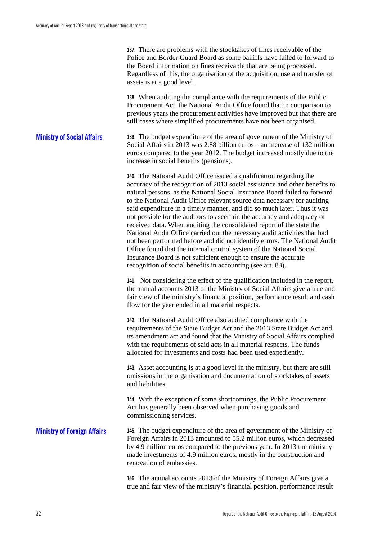**137.** There are problems with the stocktakes of fines receivable of the Police and Border Guard Board as some bailiffs have failed to forward to the Board information on fines receivable that are being processed. Regardless of this, the organisation of the acquisition, use and transfer of assets is at a good level.

**138.** When auditing the compliance with the requirements of the Public Procurement Act, the National Audit Office found that in comparison to previous years the procurement activities have improved but that there are still cases where simplified procurements have not been organised.

<span id="page-33-0"></span>**139.** The budget expenditure of the area of government of the Ministry of Social Affairs in 2013 was 2.88 billion euros – an increase of 132 million euros compared to the year 2012. The budget increased mostly due to the increase in social benefits (pensions). **Ministry of Social Affairs**

> **140.** The National Audit Office issued a qualification regarding the accuracy of the recognition of 2013 social assistance and other benefits to natural persons, as the National Social Insurance Board failed to forward to the National Audit Office relevant source data necessary for auditing said expenditure in a timely manner, and did so much later. Thus it was not possible for the auditors to ascertain the accuracy and adequacy of received data. When auditing the consolidated report of the state the National Audit Office carried out the necessary audit activities that had not been performed before and did not identify errors. The National Audit Office found that the internal control system of the National Social Insurance Board is not sufficient enough to ensure the accurate recognition of social benefits in accounting (see art. 83).

> **141.** Not considering the effect of the qualification included in the report, the annual accounts 2013 of the Ministry of Social Affairs give a true and fair view of the ministry's financial position, performance result and cash flow for the year ended in all material respects.

> **142.** The National Audit Office also audited compliance with the requirements of the State Budget Act and the 2013 State Budget Act and its amendment act and found that the Ministry of Social Affairs complied with the requirements of said acts in all material respects. The funds allocated for investments and costs had been used expediently.

**143.** Asset accounting is at a good level in the ministry, but there are still omissions in the organisation and documentation of stocktakes of assets and liabilities.

**144.** With the exception of some shortcomings, the Public Procurement Act has generally been observed when purchasing goods and commissioning services.

<span id="page-33-1"></span>**145.** The budget expenditure of the area of government of the Ministry of Foreign Affairs in 2013 amounted to 55.2 million euros, which decreased by 4.9 million euros compared to the previous year. In 2013 the ministry made investments of 4.9 million euros, mostly in the construction and renovation of embassies. **Ministry of Foreign Affairs**

> **146.** The annual accounts 2013 of the Ministry of Foreign Affairs give a true and fair view of the ministry's financial position, performance result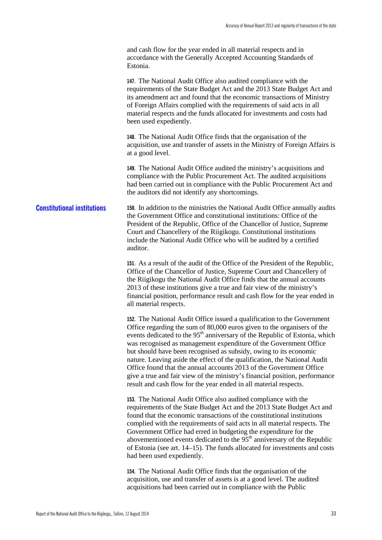and cash flow for the year ended in all material respects and in accordance with the Generally Accepted Accounting Standards of Estonia.

**147.** The National Audit Office also audited compliance with the requirements of the State Budget Act and the 2013 State Budget Act and its amendment act and found that the economic transactions of Ministry of Foreign Affairs complied with the requirements of said acts in all material respects and the funds allocated for investments and costs had been used expediently.

**148.** The National Audit Office finds that the organisation of the acquisition, use and transfer of assets in the Ministry of Foreign Affairs is at a good level.

**149.** The National Audit Office audited the ministry's acquisitions and compliance with the Public Procurement Act. The audited acquisitions had been carried out in compliance with the Public Procurement Act and the auditors did not identify any shortcomings.

<span id="page-34-0"></span>**150.** In addition to the ministries the National Audit Office annually audits the Government Office and constitutional institutions: Office of the President of the Republic, Office of the Chancellor of Justice, Supreme Court and Chancellery of the Riigikogu. Constitutional institutions include the National Audit Office who will be audited by a certified auditor. **Constitutional institutions**

> **151.** As a result of the audit of the Office of the President of the Republic, Office of the Chancellor of Justice, Supreme Court and Chancellery of the Riigikogu the National Audit Office finds that the annual accounts 2013 of these institutions give a true and fair view of the ministry's financial position, performance result and cash flow for the year ended in all material respects.

> **152.** The National Audit Office issued a qualification to the Government Office regarding the sum of 80,000 euros given to the organisers of the events dedicated to the 95<sup>th</sup> anniversary of the Republic of Estonia, which was recognised as management expenditure of the Government Office but should have been recognised as subsidy, owing to its economic nature. Leaving aside the effect of the qualification, the National Audit Office found that the annual accounts 2013 of the Government Office give a true and fair view of the ministry's financial position, performance result and cash flow for the year ended in all material respects.

> **153.** The National Audit Office also audited compliance with the requirements of the State Budget Act and the 2013 State Budget Act and found that the economic transactions of the constitutional institutions complied with the requirements of said acts in all material respects. The Government Office had erred in budgeting the expenditure for the abovementioned events dedicated to the  $95<sup>th</sup>$  anniversary of the Republic of Estonia (see art. 14–15). The funds allocated for investments and costs had been used expediently.

**154.** The National Audit Office finds that the organisation of the acquisition, use and transfer of assets is at a good level. The audited acquisitions had been carried out in compliance with the Public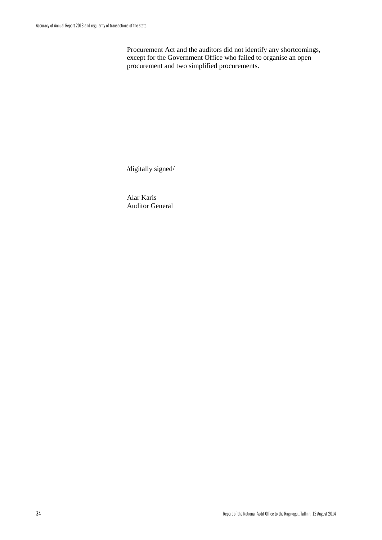Procurement Act and the auditors did not identify any shortcomings, except for the Government Office who failed to organise an open procurement and two simplified procurements.

/digitally signed/

Alar Karis Auditor General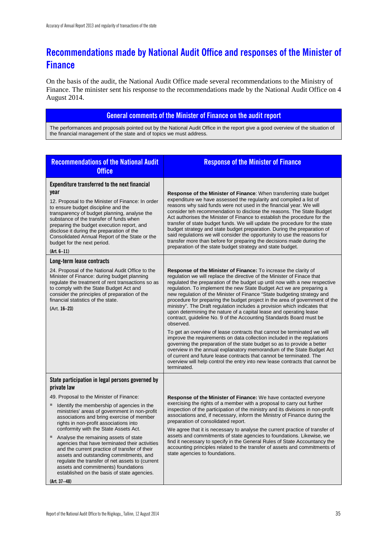### <span id="page-36-0"></span>**Recommendations made by National Audit Office and responses of the Minister of Finance**

On the basis of the audit, the National Audit Office made several recommendations to the Ministry of Finance. The minister sent his response to the recommendations made by the National Audit Office on 4 August 2014.

#### **General comments of the Minister of Finance on the audit report**

The performances and proposals pointed out by the National Audit Office in the report give a good overview of the situation of the financial management of the state and of topics we must address.

| <b>Recommendations of the National Audit</b><br><b>Office</b>                                                                                                                                                                                                                                                                                                                                                                                                                                                                                                                                                                                                                              | <b>Response of the Minister of Finance</b>                                                                                                                                                                                                                                                                                                                                                                                                                                                                                                                                                                                                                                                                                                                                                                                                                                                                                                                                                                                                                                                                                                                                                |
|--------------------------------------------------------------------------------------------------------------------------------------------------------------------------------------------------------------------------------------------------------------------------------------------------------------------------------------------------------------------------------------------------------------------------------------------------------------------------------------------------------------------------------------------------------------------------------------------------------------------------------------------------------------------------------------------|-------------------------------------------------------------------------------------------------------------------------------------------------------------------------------------------------------------------------------------------------------------------------------------------------------------------------------------------------------------------------------------------------------------------------------------------------------------------------------------------------------------------------------------------------------------------------------------------------------------------------------------------------------------------------------------------------------------------------------------------------------------------------------------------------------------------------------------------------------------------------------------------------------------------------------------------------------------------------------------------------------------------------------------------------------------------------------------------------------------------------------------------------------------------------------------------|
| Expenditure transferred to the next financial<br>year<br>12. Proposal to the Minister of Finance: In order<br>to ensure budget discipline and the<br>transparency of budget planning, analyse the<br>substance of the transfer of funds when<br>preparing the budget execution report, and<br>disclose it during the preparation of the<br>Consolidated Annual Report of the State or the<br>budget for the next period.<br>$(Art. 6-11)$                                                                                                                                                                                                                                                  | <b>Response of the Minister of Finance:</b> When transferring state budget<br>expenditure we have assessed the regularity and compiled a list of<br>reasons why said funds were not used in the financial year. We will<br>consider teh recommendation to disclose the reasons. The State Budget<br>Act authorises the Minister of Finance to establish the procedure for the<br>transfer of state budget funds. We will update the procedure for the state<br>budget strategy and state budget preparation. During the preparation of<br>said regulations we will consider the opportunity to use the reasons for<br>transfer more than before for preparing the decisions made during the<br>preparation of the state budget strategy and state budget.                                                                                                                                                                                                                                                                                                                                                                                                                                 |
| Long-term lease contracts<br>24. Proposal of the National Audit Office to the<br>Minister of Finance: during budget planning<br>regulate the treatment of rent transactions so as<br>to comply with the State Budget Act and<br>consider the principles of preparation of the<br>financial statistics of the state.<br>(Art. 16-23)                                                                                                                                                                                                                                                                                                                                                        | <b>Response of the Minister of Finance:</b> To increase the clarity of<br>regulation we will replace the directive of the Minister of Finace that<br>regulated the preparation of the budget up until now with a new respective<br>regulation. To implement the new State Budget Act we are preparing a<br>new regulation of the Minister of Finance "State budgeting strategy and<br>procedure for preparing the budget project in the area of government of the<br>ministry". The Draft regulation includes a provision which indicates that<br>upon determining the nature of a capital lease and operating lease<br>contract, guideline No. 9 of the Accounting Standards Board must be<br>observed.<br>To get an overview of lease contracts that cannot be terminated we will<br>improve the requirements on data collection included in the regulations<br>governing the preparation of the state budget so as to provide a better<br>overview in the annual explanatory memorandum of the State Budget Act<br>of current and future lease contracts that cannot be terminated. The<br>overview will help control the entry into new lease contracts that cannot be<br>terminated. |
| State participation in legal persons governed by<br>private law<br>49. Proposal to the Minister of Finance:<br>Identify the membership of agencies in the<br>ministries' areas of government in non-profit<br>associations and bring exercise of member<br>rights in non-profit associations into<br>conformity with the State Assets Act.<br>Analyse the remaining assets of state<br>agencies that have terminated their activities<br>and the current practice of transfer of their<br>assets and outstanding commitments, and<br>regulate the transfer of net assets to (current<br>assets and commitments) foundations<br>established on the basis of state agencies.<br>(Art. 37-48) | <b>Response of the Minister of Finance:</b> We have contacted everyone<br>exercising the rights of a member with a proposal to carry out further<br>inspection of the participation of the ministry and its divisions in non-profit<br>associations and, if necessary, inform the Ministry of Finance during the<br>preparation of consolidated report.<br>We agree that it is necessary to analyse the current practice of transfer of<br>assets and commitments of state agencies to foundations. Likewise, we<br>find it necessary to specify in the General Rules of State Accountancy the<br>accounting principles related to the transfer of assets and commitments of<br>state agencies to foundations.                                                                                                                                                                                                                                                                                                                                                                                                                                                                            |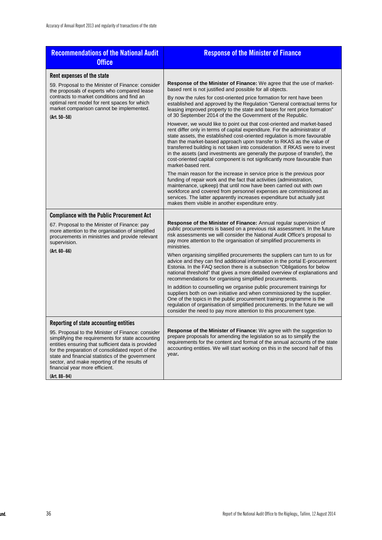| <b>Recommendations of the National Audit</b><br><b>Office</b>                                                                                                                                                                                                                                                                                           | <b>Response of the Minister of Finance</b>                                                                                                                                                                                                                                                                                                                                                                                                                                                                                                                                  |
|---------------------------------------------------------------------------------------------------------------------------------------------------------------------------------------------------------------------------------------------------------------------------------------------------------------------------------------------------------|-----------------------------------------------------------------------------------------------------------------------------------------------------------------------------------------------------------------------------------------------------------------------------------------------------------------------------------------------------------------------------------------------------------------------------------------------------------------------------------------------------------------------------------------------------------------------------|
| Rent expenses of the state                                                                                                                                                                                                                                                                                                                              |                                                                                                                                                                                                                                                                                                                                                                                                                                                                                                                                                                             |
| 59. Proposal to the Minister of Finance: consider<br>the proposals of experts who compared lease<br>contracts to market conditions and find an<br>optimal rent model for rent spaces for which<br>market comparison cannot be implemented.<br>$(Art. 50 - 58)$                                                                                          | Response of the Minister of Finance: We agree that the use of market-<br>based rent is not justified and possible for all objects.                                                                                                                                                                                                                                                                                                                                                                                                                                          |
|                                                                                                                                                                                                                                                                                                                                                         | By now the rules for cost-oriented price formation for rent have been<br>established and approved by the Regulation "General contractual terms for<br>leasing improved property to the state and bases for rent price formation"<br>of 30 September 2014 of the the Government of the Republic.                                                                                                                                                                                                                                                                             |
|                                                                                                                                                                                                                                                                                                                                                         | However, we would like to point out that cost-oriented and market-based<br>rent differ only in terms of capital expenditure. For the administrator of<br>state assets, the established cost-oriented regulation is more favourable<br>than the market-based approach upon transfer to RKAS as the value of<br>transferred building is not taken into consideration. If RKAS were to invest<br>in the assets (and investments are generally the purpose of transfer), the<br>cost-oriented capital component is not significantly more favourable than<br>market-based rent. |
|                                                                                                                                                                                                                                                                                                                                                         | The main reason for the increase in service price is the previous poor<br>funding of repair work and the fact that activities (administration,<br>maintenance, upkeep) that until now have been carried out with own<br>workforce and covered from personnel expenses are commissioned as<br>services. The latter apparently increases expenditure but actually just<br>makes them visible in another expenditure entry.                                                                                                                                                    |
| <b>Compliance with the Public Procurement Act</b>                                                                                                                                                                                                                                                                                                       |                                                                                                                                                                                                                                                                                                                                                                                                                                                                                                                                                                             |
| 67. Proposal to the Minister of Finance: pay<br>more attention to the organisation of simplified<br>procurements in ministries and provide relevant<br>supervision.                                                                                                                                                                                     | <b>Response of the Minister of Finance:</b> Annual regular supervision of<br>public procurements is based on a previous risk assessment. In the future<br>risk assessments we will consider the National Audit Office's proposal to<br>pay more attention to the organisation of simplified procurements in<br>ministries.                                                                                                                                                                                                                                                  |
| $(Art. 60 - 66)$                                                                                                                                                                                                                                                                                                                                        | When organising simplified procurements the suppliers can turn to us for<br>advice and they can find additional information in the portal E-procurement<br>Estonia. In the FAQ section there is a subsection "Obligations for below<br>national threshold" that gives a more detailed overview of explanations and<br>recommendations for organising simplified procurements.                                                                                                                                                                                               |
|                                                                                                                                                                                                                                                                                                                                                         | In addition to counselling we organise public procurement trainings for<br>suppliers both on own initiative and when commissioned by the supplier.<br>One of the topics in the public procurement training programme is the<br>regulation of organisation of simplified procurements. In the future we will<br>consider the need to pay more attention to this procurement type.                                                                                                                                                                                            |
| Reporting of state accounting entities                                                                                                                                                                                                                                                                                                                  |                                                                                                                                                                                                                                                                                                                                                                                                                                                                                                                                                                             |
| 95. Proposal to the Minister of Finance: consider<br>simplifying the requirements for state accounting<br>entities ensuring that sufficient data is provided<br>for the preparation of consolidated report of the<br>state and financial statistics of the government<br>sector, and make reporting of the results of<br>financial year more efficient. | <b>Response of the Minister of Finance:</b> We agree with the suggestion to<br>prepare proposals for amending the legislation so as to simplify the<br>requirements for the content and format of the annual accounts of the state<br>accounting entities. We will start working on this in the second half of this<br>year.                                                                                                                                                                                                                                                |
| (Art. 88-94)                                                                                                                                                                                                                                                                                                                                            |                                                                                                                                                                                                                                                                                                                                                                                                                                                                                                                                                                             |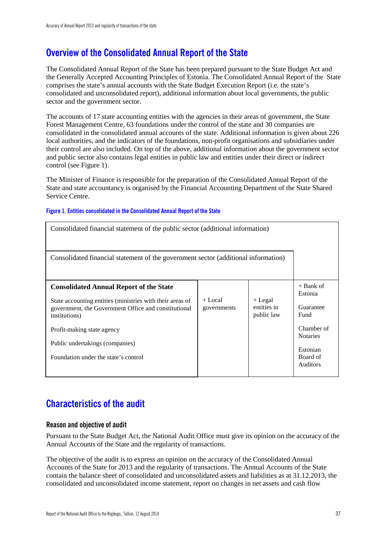### <span id="page-38-0"></span>**Overview of the Consolidated Annual Report of the State**

The Consolidated Annual Report of the State has been prepared pursuant to the State Budget Act and the Generally Accepted Accounting Principles of Estonia. The Consolidated Annual Report of the State comprises the state's annual accounts with the State Budget Execution Report (i.e. the state's consolidated and unconsolidated report), additional information about local governments, the public sector and the government sector.

The accounts of 17 state accounting entities with the agencies in their areas of government, the State Forest Management Centre, 63 foundations under the control of the state and 30 companies are consolidated in the consolidated annual accounts of the state. Additional information is given about 226 local authorities, and the indicators of the foundations, non-profit organisations and subsidiaries under their control are also included. On top of the above, additional information about the government sector and public sector also contains legal entities in public law and entities under their direct or indirect control (see Figure 1).

The Minister of Finance is responsible for the preparation of the Consolidated Annual Report of the State and state accountancy is organised by the Financial Accounting Department of the State Shared Service Centre.

#### **Figure 1. Entities consolidated in the Consolidated Annual Report of the State**

| Consolidated financial statement of the public sector (additional information)                                                                                                                                                                                                                |                          |                                        |                                                                                                                         |  |
|-----------------------------------------------------------------------------------------------------------------------------------------------------------------------------------------------------------------------------------------------------------------------------------------------|--------------------------|----------------------------------------|-------------------------------------------------------------------------------------------------------------------------|--|
| Consolidated financial statement of the government sector (additional information)                                                                                                                                                                                                            |                          |                                        |                                                                                                                         |  |
| <b>Consolidated Annual Report of the State</b><br>State accounting entities (ministries with their areas of<br>government, the Government Office and constitutional<br>institutions)<br>Profit-making state agency<br>Public undertakings (companies)<br>Foundation under the state's control | $+$ Local<br>governments | $+$ Legal<br>entities in<br>public law | $+$ Bank of<br>Estonia<br>Guarantee<br>Fund<br>Chamber of<br><b>Notaries</b><br>Estonian<br>Board of<br><b>Auditors</b> |  |

### <span id="page-38-1"></span>**Characteristics of the audit**

#### **Reason and objective of audit**

Pursuant to the State Budget Act, the National Audit Office must give its opinion on the accuracy of the Annual Accounts of the State and the regularity of transactions.

The objective of the audit is to express an opinion on the accuracy of the Consolidated Annual Accounts of the State for 2013 and the regularity of transactions. The Annual Accounts of the State contain the balance sheet of consolidated and unconsolidated assets and liabilities as at 31.12.2013, the consolidated and unconsolidated income statement, report on changes in net assets and cash flow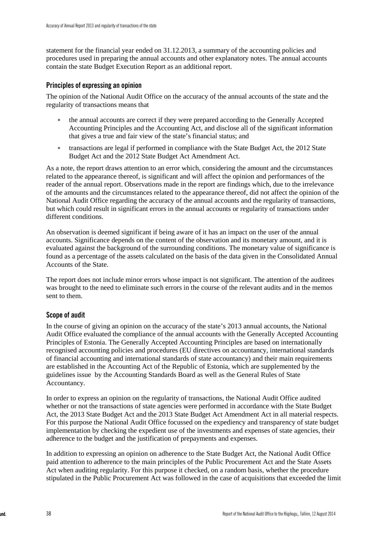statement for the financial year ended on 31.12.2013, a summary of the accounting policies and procedures used in preparing the annual accounts and other explanatory notes. The annual accounts contain the state Budget Execution Report as an additional report.

#### **Principles of expressing an opinion**

The opinion of the National Audit Office on the accuracy of the annual accounts of the state and the regularity of transactions means that

- the annual accounts are correct if they were prepared according to the Generally Accepted Accounting Principles and the Accounting Act, and disclose all of the significant information that gives a true and fair view of the state's financial status; and
- transactions are legal if performed in compliance with the State Budget Act, the 2012 State Budget Act and the 2012 State Budget Act Amendment Act.

As a note, the report draws attention to an error which, considering the amount and the circumstances related to the appearance thereof, is significant and will affect the opinion and performances of the reader of the annual report. Observations made in the report are findings which, due to the irrelevance of the amounts and the circumstances related to the appearance thereof, did not affect the opinion of the National Audit Office regarding the accuracy of the annual accounts and the regularity of transactions, but which could result in significant errors in the annual accounts or regularity of transactions under different conditions.

An observation is deemed significant if being aware of it has an impact on the user of the annual accounts. Significance depends on the content of the observation and its monetary amount, and it is evaluated against the background of the surrounding conditions. The monetary value of significance is found as a percentage of the assets calculated on the basis of the data given in the Consolidated Annual Accounts of the State.

The report does not include minor errors whose impact is not significant. The attention of the auditees was brought to the need to eliminate such errors in the course of the relevant audits and in the memos sent to them.

#### **Scope of audit**

In the course of giving an opinion on the accuracy of the state's 2013 annual accounts, the National Audit Office evaluated the compliance of the annual accounts with the Generally Accepted Accounting Principles of Estonia. The Generally Accepted Accounting Principles are based on internationally recognised accounting policies and procedures (EU directives on accountancy, international standards of financial accounting and international standards of state accountancy) and their main requirements are established in the Accounting Act of the Republic of Estonia, which are supplemented by the guidelines issue by the Accounting Standards Board as well as the General Rules of State Accountancy.

In order to express an opinion on the regularity of transactions, the National Audit Office audited whether or not the transactions of state agencies were performed in accordance with the State Budget Act, the 2013 State Budget Act and the 2013 State Budget Act Amendment Act in all material respects. For this purpose the National Audit Office focussed on the expediency and transparency of state budget implementation by checking the expedient use of the investments and expenses of state agencies, their adherence to the budget and the justification of prepayments and expenses.

In addition to expressing an opinion on adherence to the State Budget Act, the National Audit Office paid attention to adherence to the main principles of the Public Procurement Act and the State Assets Act when auditing regularity. For this purpose it checked, on a random basis, whether the procedure stipulated in the Public Procurement Act was followed in the case of acquisitions that exceeded the limit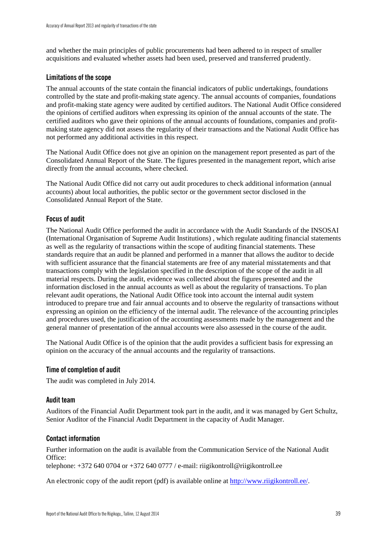and whether the main principles of public procurements had been adhered to in respect of smaller acquisitions and evaluated whether assets had been used, preserved and transferred prudently.

#### **Limitations of the scope**

The annual accounts of the state contain the financial indicators of public undertakings, foundations controlled by the state and profit-making state agency. The annual accounts of companies, foundations and profit-making state agency were audited by certified auditors. The National Audit Office considered the opinions of certified auditors when expressing its opinion of the annual accounts of the state. The certified auditors who gave their opinions of the annual accounts of foundations, companies and profitmaking state agency did not assess the regularity of their transactions and the National Audit Office has not performed any additional activities in this respect.

The National Audit Office does not give an opinion on the management report presented as part of the Consolidated Annual Report of the State. The figures presented in the management report, which arise directly from the annual accounts, where checked.

The National Audit Office did not carry out audit procedures to check additional information (annual accounts) about local authorities, the public sector or the government sector disclosed in the Consolidated Annual Report of the State.

#### **Focus of audit**

The National Audit Office performed the audit in accordance with the Audit Standards of the INSOSAI (International Organisation of Supreme Audit Institutions) , which regulate auditing financial statements as well as the regularity of transactions within the scope of auditing financial statements. These standards require that an audit be planned and performed in a manner that allows the auditor to decide with sufficient assurance that the financial statements are free of any material misstatements and that transactions comply with the legislation specified in the description of the scope of the audit in all material respects. During the audit, evidence was collected about the figures presented and the information disclosed in the annual accounts as well as about the regularity of transactions. To plan relevant audit operations, the National Audit Office took into account the internal audit system introduced to prepare true and fair annual accounts and to observe the regularity of transactions without expressing an opinion on the efficiency of the internal audit. The relevance of the accounting principles and procedures used, the justification of the accounting assessments made by the management and the general manner of presentation of the annual accounts were also assessed in the course of the audit.

The National Audit Office is of the opinion that the audit provides a sufficient basis for expressing an opinion on the accuracy of the annual accounts and the regularity of transactions.

#### **Time of completion of audit**

The audit was completed in July 2014.

#### **Audit team**

Auditors of the Financial Audit Department took part in the audit, and it was managed by Gert Schultz, Senior Auditor of the Financial Audit Department in the capacity of Audit Manager.

#### **Contact information**

Further information on the audit is available from the Communication Service of the National Audit Office:

telephone: +372 640 0704 or +372 640 0777 / e-mail: riigikontroll@riigikontroll.ee

An electronic copy of the audit report (pdf) is available online at [http://www.riigikontroll.ee/.](http://www.riigikontroll.ee/)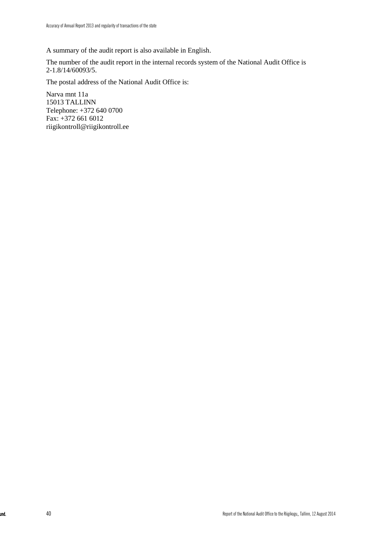A summary of the audit report is also available in English.

The number of the audit report in the internal records system of the National Audit Office is 2-1.8/14/60093/5.

The postal address of the National Audit Office is:

Narva mnt 11a 15013 TALLINN Telephone: +372 640 0700 Fax: +372 661 6012 riigikontroll@riigikontroll.ee